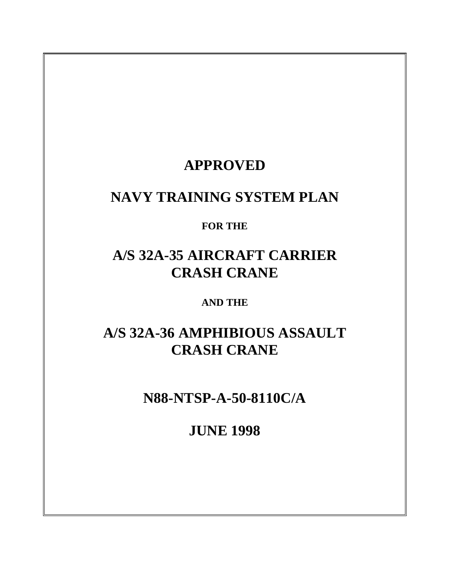# **APPROVED**

# **NAVY TRAINING SYSTEM PLAN**

# **FOR THE**

# **A/S 32A-35 AIRCRAFT CARRIER CRASH CRANE**

# **AND THE**

# **A/S 32A-36 AMPHIBIOUS ASSAULT CRASH CRANE**

# **N88-NTSP-A-50-8110C/A**

# **JUNE 1998**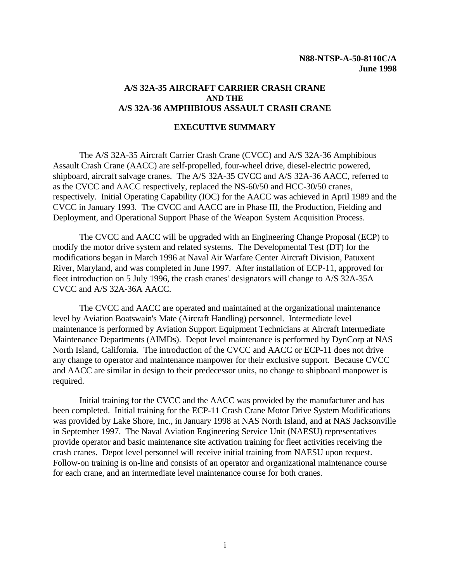#### <span id="page-1-0"></span>**A/S 32A-35 AIRCRAFT CARRIER CRASH CRANE AND THE A/S 32A-36 AMPHIBIOUS ASSAULT CRASH CRANE**

#### **EXECUTIVE SUMMARY**

The A/S 32A-35 Aircraft Carrier Crash Crane (CVCC) and A/S 32A-36 Amphibious Assault Crash Crane (AACC) are self-propelled, four-wheel drive, diesel-electric powered, shipboard, aircraft salvage cranes. The A/S 32A-35 CVCC and A/S 32A-36 AACC, referred to as the CVCC and AACC respectively, replaced the NS-60/50 and HCC-30/50 cranes, respectively. Initial Operating Capability (IOC) for the AACC was achieved in April 1989 and the CVCC in January 1993. The CVCC and AACC are in Phase III, the Production, Fielding and Deployment, and Operational Support Phase of the Weapon System Acquisition Process.

The CVCC and AACC will be upgraded with an Engineering Change Proposal (ECP) to modify the motor drive system and related systems. The Developmental Test (DT) for the modifications began in March 1996 at Naval Air Warfare Center Aircraft Division, Patuxent River, Maryland, and was completed in June 1997. After installation of ECP-11, approved for fleet introduction on 5 July 1996, the crash cranes' designators will change to A/S 32A-35A CVCC and A/S 32A-36A AACC.

The CVCC and AACC are operated and maintained at the organizational maintenance level by Aviation Boatswain's Mate (Aircraft Handling) personnel. Intermediate level maintenance is performed by Aviation Support Equipment Technicians at Aircraft Intermediate Maintenance Departments (AIMDs). Depot level maintenance is performed by DynCorp at NAS North Island, California. The introduction of the CVCC and AACC or ECP-11 does not drive any change to operator and maintenance manpower for their exclusive support. Because CVCC and AACC are similar in design to their predecessor units, no change to shipboard manpower is required.

Initial training for the CVCC and the AACC was provided by the manufacturer and has been completed. Initial training for the ECP-11 Crash Crane Motor Drive System Modifications was provided by Lake Shore, Inc., in January 1998 at NAS North Island, and at NAS Jacksonville in September 1997. The Naval Aviation Engineering Service Unit (NAESU) representatives provide operator and basic maintenance site activation training for fleet activities receiving the crash cranes. Depot level personnel will receive initial training from NAESU upon request. Follow-on training is on-line and consists of an operator and organizational maintenance course for each crane, and an intermediate level maintenance course for both cranes.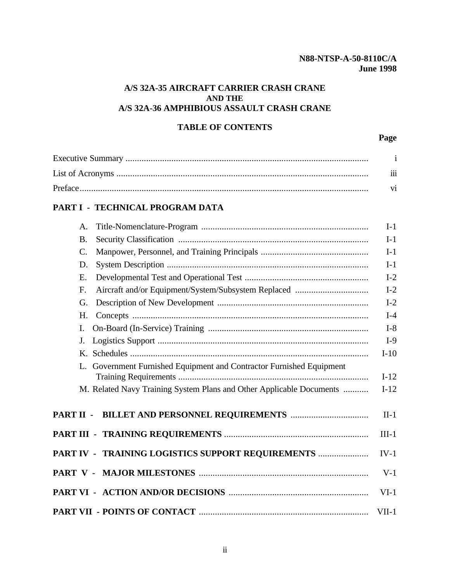### **A/S 32A-35 AIRCRAFT CARRIER CRASH CRANE AND THE A/S 32A-36 AMPHIBIOUS ASSAULT CRASH CRANE**

# **TABLE OF CONTENTS**

**Page**

| $\cdots$ |
|----------|
|          |

# **[PART I - TECHNICAL PROGRAM DATA](#page-7-0)**

| A.                                                                   | $I-1$   |
|----------------------------------------------------------------------|---------|
| <b>B.</b>                                                            | $I-1$   |
| $\mathcal{C}$ .                                                      | $I-1$   |
| D.                                                                   | $I-1$   |
| Ε.                                                                   | $I-2$   |
| F.                                                                   | $I-2$   |
| G.                                                                   | $I-2$   |
| H.                                                                   | $I-4$   |
| I.                                                                   | $I-8$   |
| J.                                                                   | $I-9$   |
|                                                                      | $I-10$  |
| L. Government Furnished Equipment and Contractor Furnished Equipment | $I-12$  |
| M. Related Navy Training System Plans and Other Applicable Documents | $I-12$  |
|                                                                      |         |
|                                                                      | $II-1$  |
|                                                                      | $III-1$ |
| PART IV - TRAINING LOGISTICS SUPPORT REQUIREMENTS                    | $IV-1$  |
|                                                                      | $V-1$   |
|                                                                      | $VI-1$  |
|                                                                      | $VII-1$ |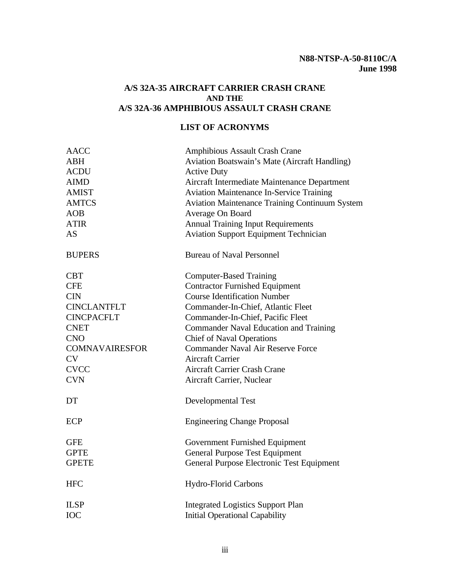#### <span id="page-3-0"></span>**A/S 32A-35 AIRCRAFT CARRIER CRASH CRANE AND THE A/S 32A-36 AMPHIBIOUS ASSAULT CRASH CRANE**

## **LIST OF ACRONYMS**

| <b>AACC</b>           | Amphibious Assault Crash Crane                        |  |
|-----------------------|-------------------------------------------------------|--|
| <b>ABH</b>            | Aviation Boatswain's Mate (Aircraft Handling)         |  |
| <b>ACDU</b>           | <b>Active Duty</b>                                    |  |
| <b>AIMD</b>           | Aircraft Intermediate Maintenance Department          |  |
| <b>AMIST</b>          | <b>Aviation Maintenance In-Service Training</b>       |  |
| <b>AMTCS</b>          | <b>Aviation Maintenance Training Continuum System</b> |  |
| AOB                   | Average On Board                                      |  |
| <b>ATIR</b>           | <b>Annual Training Input Requirements</b>             |  |
| <b>AS</b>             | <b>Aviation Support Equipment Technician</b>          |  |
| <b>BUPERS</b>         | <b>Bureau of Naval Personnel</b>                      |  |
| <b>CBT</b>            | <b>Computer-Based Training</b>                        |  |
| <b>CFE</b>            | <b>Contractor Furnished Equipment</b>                 |  |
| <b>CIN</b>            | <b>Course Identification Number</b>                   |  |
| <b>CINCLANTFLT</b>    | Commander-In-Chief, Atlantic Fleet                    |  |
| <b>CINCPACFLT</b>     | Commander-In-Chief, Pacific Fleet                     |  |
| <b>CNET</b>           | <b>Commander Naval Education and Training</b>         |  |
| <b>CNO</b>            | <b>Chief of Naval Operations</b>                      |  |
| <b>COMNAVAIRESFOR</b> | <b>Commander Naval Air Reserve Force</b>              |  |
| <b>CV</b>             | <b>Aircraft Carrier</b>                               |  |
| <b>CVCC</b>           | <b>Aircraft Carrier Crash Crane</b>                   |  |
| <b>CVN</b>            | Aircraft Carrier, Nuclear                             |  |
| DT                    | <b>Developmental Test</b>                             |  |
| ECP                   | <b>Engineering Change Proposal</b>                    |  |
| <b>GFE</b>            | Government Furnished Equipment                        |  |
| <b>GPTE</b>           | <b>General Purpose Test Equipment</b>                 |  |
| <b>GPETE</b>          | General Purpose Electronic Test Equipment             |  |
| <b>HFC</b>            | <b>Hydro-Florid Carbons</b>                           |  |
| <b>ILSP</b>           | <b>Integrated Logistics Support Plan</b>              |  |
| <b>IOC</b>            | <b>Initial Operational Capability</b>                 |  |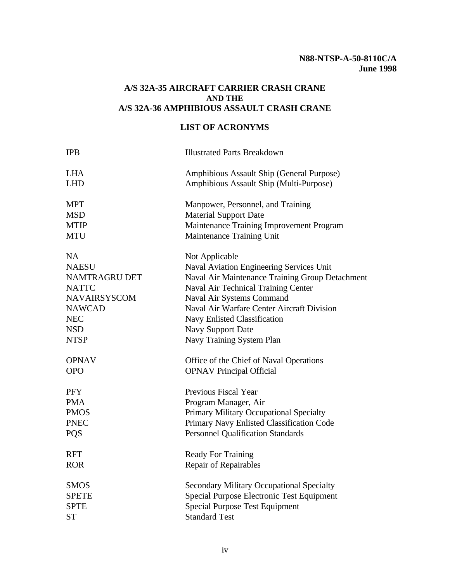# **A/S 32A-35 AIRCRAFT CARRIER CRASH CRANE AND THE A/S 32A-36 AMPHIBIOUS ASSAULT CRASH CRANE**

# **LIST OF ACRONYMS**

| <b>IPB</b>          | <b>Illustrated Parts Breakdown</b>               |
|---------------------|--------------------------------------------------|
| <b>LHA</b>          | Amphibious Assault Ship (General Purpose)        |
| <b>LHD</b>          | Amphibious Assault Ship (Multi-Purpose)          |
| <b>MPT</b>          | Manpower, Personnel, and Training                |
| <b>MSD</b>          | <b>Material Support Date</b>                     |
| <b>MTIP</b>         | Maintenance Training Improvement Program         |
| <b>MTU</b>          | Maintenance Training Unit                        |
| NA                  | Not Applicable                                   |
| <b>NAESU</b>        | Naval Aviation Engineering Services Unit         |
| NAMTRAGRU DET       | Naval Air Maintenance Training Group Detachment  |
| <b>NATTC</b>        | Naval Air Technical Training Center              |
| <b>NAVAIRSYSCOM</b> | Naval Air Systems Command                        |
| <b>NAWCAD</b>       | Naval Air Warfare Center Aircraft Division       |
| <b>NEC</b>          | Navy Enlisted Classification                     |
| <b>NSD</b>          | <b>Navy Support Date</b>                         |
| <b>NTSP</b>         | Navy Training System Plan                        |
| <b>OPNAV</b>        | Office of the Chief of Naval Operations          |
| <b>OPO</b>          | <b>OPNAV Principal Official</b>                  |
| <b>PFY</b>          | Previous Fiscal Year                             |
| <b>PMA</b>          | Program Manager, Air                             |
| <b>PMOS</b>         | Primary Military Occupational Specialty          |
| <b>PNEC</b>         | Primary Navy Enlisted Classification Code        |
| <b>PQS</b>          | <b>Personnel Qualification Standards</b>         |
| <b>RFT</b>          | <b>Ready For Training</b>                        |
| <b>ROR</b>          | <b>Repair of Repairables</b>                     |
| <b>SMOS</b>         | <b>Secondary Military Occupational Specialty</b> |
| <b>SPETE</b>        | Special Purpose Electronic Test Equipment        |
| <b>SPTE</b>         | Special Purpose Test Equipment                   |
| <b>ST</b>           | <b>Standard Test</b>                             |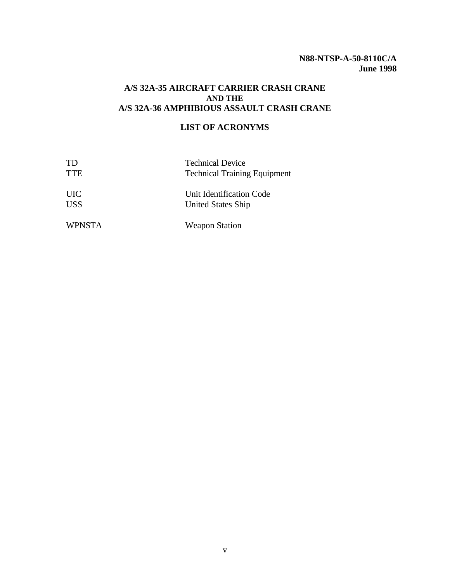#### **A/S 32A-35 AIRCRAFT CARRIER CRASH CRANE AND THE A/S 32A-36 AMPHIBIOUS ASSAULT CRASH CRANE**

### **LIST OF ACRONYMS**

| <b>TD</b>     | <b>Technical Device</b>             |  |
|---------------|-------------------------------------|--|
| <b>TTE</b>    | <b>Technical Training Equipment</b> |  |
| <b>UIC</b>    | Unit Identification Code            |  |
| <b>USS</b>    | <b>United States Ship</b>           |  |
| <b>WPNSTA</b> | <b>Weapon Station</b>               |  |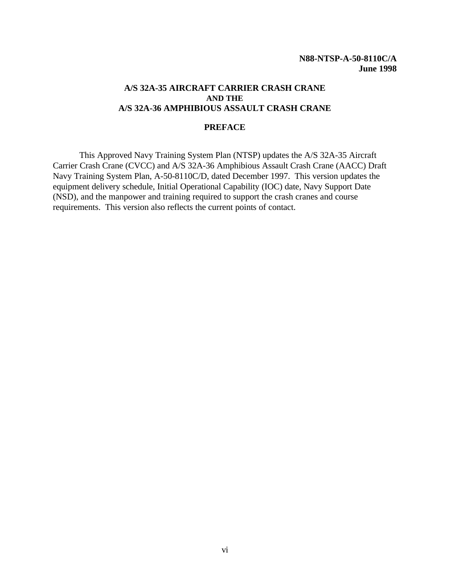#### <span id="page-6-0"></span>**A/S 32A-35 AIRCRAFT CARRIER CRASH CRANE AND THE A/S 32A-36 AMPHIBIOUS ASSAULT CRASH CRANE**

#### **PREFACE**

This Approved Navy Training System Plan (NTSP) updates the A/S 32A-35 Aircraft Carrier Crash Crane (CVCC) and A/S 32A-36 Amphibious Assault Crash Crane (AACC) Draft Navy Training System Plan, A-50-8110C/D, dated December 1997. This version updates the equipment delivery schedule, Initial Operational Capability (IOC) date, Navy Support Date (NSD), and the manpower and training required to support the crash cranes and course requirements. This version also reflects the current points of contact.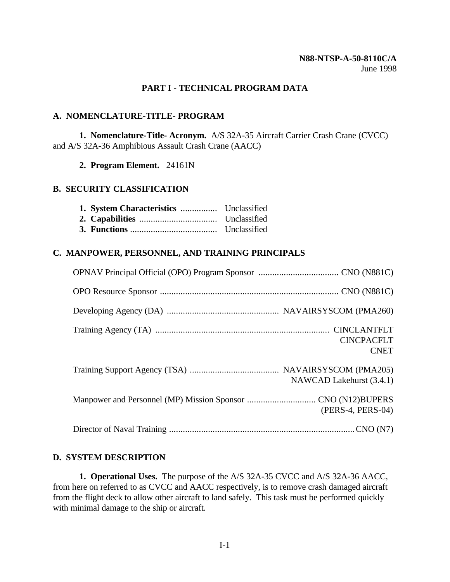#### **PART I - TECHNICAL PROGRAM DATA**

#### <span id="page-7-0"></span>**A. NOMENCLATURE-TITLE- PROGRAM**

**1. Nomenclature-Title- Acronym.** A/S 32A-35 Aircraft Carrier Crash Crane (CVCC) and A/S 32A-36 Amphibious Assault Crash Crane (AACC)

**2. Program Element.** 24161N

#### **B. SECURITY CLASSIFICATION**

#### <span id="page-7-1"></span>**C. MANPOWER, PERSONNEL, AND TRAINING PRINCIPALS**

| <b>CINCPACFLT</b><br><b>CNET</b> |
|----------------------------------|
| NAWCAD Lakehurst (3.4.1)         |
| (PERS-4, PERS-04)                |
|                                  |

#### **D. SYSTEM DESCRIPTION**

**1. Operational Uses.** The purpose of the A/S 32A-35 CVCC and A/S 32A-36 AACC, from here on referred to as CVCC and AACC respectively, is to remove crash damaged aircraft from the flight deck to allow other aircraft to land safely. This task must be performed quickly with minimal damage to the ship or aircraft.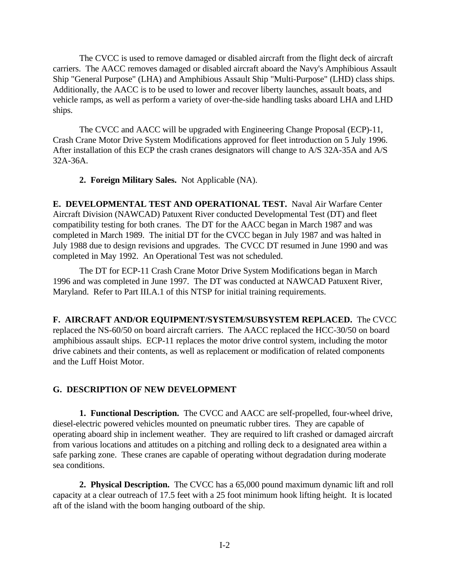The CVCC is used to remove damaged or disabled aircraft from the flight deck of aircraft carriers. The AACC removes damaged or disabled aircraft aboard the Navy's Amphibious Assault Ship "General Purpose" (LHA) and Amphibious Assault Ship "Multi-Purpose" (LHD) class ships. Additionally, the AACC is to be used to lower and recover liberty launches, assault boats, and vehicle ramps, as well as perform a variety of over-the-side handling tasks aboard LHA and LHD ships.

The CVCC and AACC will be upgraded with Engineering Change Proposal (ECP)-11, Crash Crane Motor Drive System Modifications approved for fleet introduction on 5 July 1996. After installation of this ECP the crash cranes designators will change to A/S 32A-35A and A/S 32A-36A.

**2. Foreign Military Sales.** Not Applicable (NA).

<span id="page-8-0"></span>**E. DEVELOPMENTAL TEST AND OPERATIONAL TEST.** Naval Air Warfare Center Aircraft Division (NAWCAD) Patuxent River conducted Developmental Test (DT) and fleet compatibility testing for both cranes. The DT for the AACC began in March 1987 and was completed in March 1989. The initial DT for the CVCC began in July 1987 and was halted in July 1988 due to design revisions and upgrades. The CVCC DT resumed in June 1990 and was completed in May 1992. An Operational Test was not scheduled.

The DT for ECP-11 Crash Crane Motor Drive System Modifications began in March 1996 and was completed in June 1997. The DT was conducted at NAWCAD Patuxent River, Maryland. Refer to Part III.A.1 of this NTSP for initial training requirements.

**F. AIRCRAFT AND/OR EQUIPMENT/SYSTEM/SUBSYSTEM REPLACED.** The CVCC replaced the NS-60/50 on board aircraft carriers. The AACC replaced the HCC-30/50 on board amphibious assault ships. ECP-11 replaces the motor drive control system, including the motor drive cabinets and their contents, as well as replacement or modification of related components and the Luff Hoist Motor.

#### **G. DESCRIPTION OF NEW DEVELOPMENT**

**1. Functional Description.** The CVCC and AACC are self-propelled, four-wheel drive, diesel-electric powered vehicles mounted on pneumatic rubber tires. They are capable of operating aboard ship in inclement weather. They are required to lift crashed or damaged aircraft from various locations and attitudes on a pitching and rolling deck to a designated area within a safe parking zone. These cranes are capable of operating without degradation during moderate sea conditions.

**2. Physical Description.** The CVCC has a 65,000 pound maximum dynamic lift and roll capacity at a clear outreach of 17.5 feet with a 25 foot minimum hook lifting height. It is located aft of the island with the boom hanging outboard of the ship.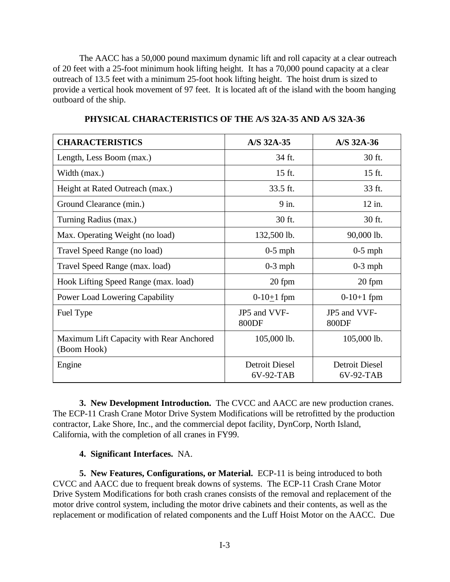The AACC has a 50,000 pound maximum dynamic lift and roll capacity at a clear outreach of 20 feet with a 25-foot minimum hook lifting height. It has a 70,000 pound capacity at a clear outreach of 13.5 feet with a minimum 25-foot hook lifting height. The hoist drum is sized to provide a vertical hook movement of 97 feet. It is located aft of the island with the boom hanging outboard of the ship.

| <b>CHARACTERISTICS</b>                                  | A/S 32A-35                  | A/S 32A-36                  |
|---------------------------------------------------------|-----------------------------|-----------------------------|
| Length, Less Boom (max.)                                | 34 ft.                      | 30 ft.                      |
| Width (max.)                                            | 15 ft.                      | 15 ft.                      |
| Height at Rated Outreach (max.)                         | 33.5 ft.                    | 33 ft.                      |
| Ground Clearance (min.)                                 | 9 in.                       | 12 in.                      |
| Turning Radius (max.)                                   | 30 ft.                      | 30 ft.                      |
| Max. Operating Weight (no load)                         | 132,500 lb.                 | 90,000 lb.                  |
| Travel Speed Range (no load)                            | $0-5$ mph                   | $0-5$ mph                   |
| Travel Speed Range (max. load)                          | $0-3$ mph                   | $0-3$ mph                   |
| Hook Lifting Speed Range (max. load)                    | 20 fpm                      | 20 fpm                      |
| Power Load Lowering Capability                          | $0-10+1$ fpm                | $0-10+1$ fpm                |
| Fuel Type                                               | JP5 and VVF-<br>800DF       | JP5 and VVF-<br>800DF       |
| Maximum Lift Capacity with Rear Anchored<br>(Boom Hook) | 105,000 lb.                 | 105,000 lb.                 |
| Engine                                                  | Detroit Diesel<br>6V-92-TAB | Detroit Diesel<br>6V-92-TAB |

**PHYSICAL CHARACTERISTICS OF THE A/S 32A-35 AND A/S 32A-36**

**3. New Development Introduction.** The CVCC and AACC are new production cranes. The ECP-11 Crash Crane Motor Drive System Modifications will be retrofitted by the production contractor, Lake Shore, Inc., and the commercial depot facility, DynCorp, North Island, California, with the completion of all cranes in FY99.

# **4. Significant Interfaces.** NA.

**5. New Features, Configurations, or Material.** ECP-11 is being introduced to both CVCC and AACC due to frequent break downs of systems. The ECP-11 Crash Crane Motor Drive System Modifications for both crash cranes consists of the removal and replacement of the motor drive control system, including the motor drive cabinets and their contents, as well as the replacement or modification of related components and the Luff Hoist Motor on the AACC. Due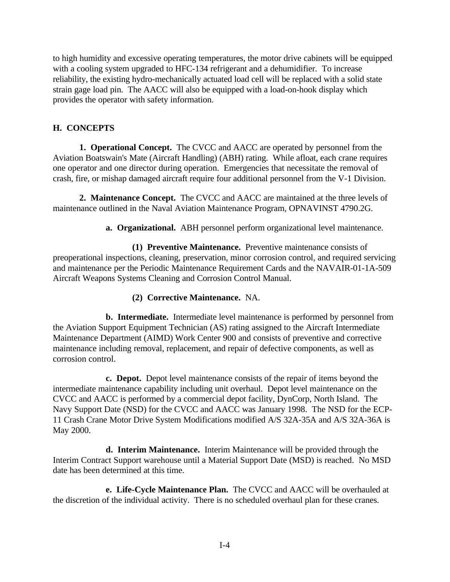to high humidity and excessive operating temperatures, the motor drive cabinets will be equipped with a cooling system upgraded to HFC-134 refrigerant and a dehumidifier. To increase reliability, the existing hydro-mechanically actuated load cell will be replaced with a solid state strain gage load pin. The AACC will also be equipped with a load-on-hook display which provides the operator with safety information.

## <span id="page-10-0"></span>**H. CONCEPTS**

**1. Operational Concept.** The CVCC and AACC are operated by personnel from the Aviation Boatswain's Mate (Aircraft Handling) (ABH) rating. While afloat, each crane requires one operator and one director during operation. Emergencies that necessitate the removal of crash, fire, or mishap damaged aircraft require four additional personnel from the V-1 Division.

**2. Maintenance Concept.** The CVCC and AACC are maintained at the three levels of maintenance outlined in the Naval Aviation Maintenance Program, OPNAVINST 4790.2G.

**a. Organizational.** ABH personnel perform organizational level maintenance.

**(1) Preventive Maintenance.** Preventive maintenance consists of preoperational inspections, cleaning, preservation, minor corrosion control, and required servicing and maintenance per the Periodic Maintenance Requirement Cards and the NAVAIR-01-1A-509 Aircraft Weapons Systems Cleaning and Corrosion Control Manual.

#### **(2) Corrective Maintenance.** NA.

**b. Intermediate.** Intermediate level maintenance is performed by personnel from the Aviation Support Equipment Technician (AS) rating assigned to the Aircraft Intermediate Maintenance Department (AIMD) Work Center 900 and consists of preventive and corrective maintenance including removal, replacement, and repair of defective components, as well as corrosion control.

**c. Depot.** Depot level maintenance consists of the repair of items beyond the intermediate maintenance capability including unit overhaul. Depot level maintenance on the CVCC and AACC is performed by a commercial depot facility, DynCorp, North Island. The Navy Support Date (NSD) for the CVCC and AACC was January 1998. The NSD for the ECP-11 Crash Crane Motor Drive System Modifications modified A/S 32A-35A and A/S 32A-36A is May 2000.

**d. Interim Maintenance.** Interim Maintenance will be provided through the Interim Contract Support warehouse until a Material Support Date (MSD) is reached. No MSD date has been determined at this time.

**e. Life-Cycle Maintenance Plan.** The CVCC and AACC will be overhauled at the discretion of the individual activity. There is no scheduled overhaul plan for these cranes.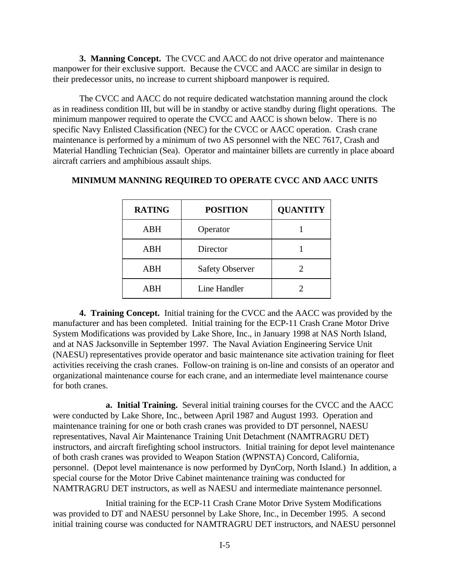**3. Manning Concept.** The CVCC and AACC do not drive operator and maintenance manpower for their exclusive support. Because the CVCC and AACC are similar in design to their predecessor units, no increase to current shipboard manpower is required.

The CVCC and AACC do not require dedicated watchstation manning around the clock as in readiness condition III, but will be in standby or active standby during flight operations. The minimum manpower required to operate the CVCC and AACC is shown below. There is no specific Navy Enlisted Classification (NEC) for the CVCC or AACC operation. Crash crane maintenance is performed by a minimum of two AS personnel with the NEC 7617, Crash and Material Handling Technician (Sea). Operator and maintainer billets are currently in place aboard aircraft carriers and amphibious assault ships.

| <b>RATING</b> | <b>POSITION</b>        | <b>QUANTITY</b> |
|---------------|------------------------|-----------------|
| <b>ABH</b>    | Operator               |                 |
| <b>ABH</b>    | Director               |                 |
| ABH           | <b>Safety Observer</b> |                 |
| <b>ARH</b>    | Line Handler           |                 |

#### **MINIMUM MANNING REQUIRED TO OPERATE CVCC AND AACC UNITS**

**4. Training Concept.** Initial training for the CVCC and the AACC was provided by the manufacturer and has been completed. Initial training for the ECP-11 Crash Crane Motor Drive System Modifications was provided by Lake Shore, Inc., in January 1998 at NAS North Island, and at NAS Jacksonville in September 1997. The Naval Aviation Engineering Service Unit (NAESU) representatives provide operator and basic maintenance site activation training for fleet activities receiving the crash cranes. Follow-on training is on-line and consists of an operator and organizational maintenance course for each crane, and an intermediate level maintenance course for both cranes.

**a. Initial Training.** Several initial training courses for the CVCC and the AACC were conducted by Lake Shore, Inc., between April 1987 and August 1993. Operation and maintenance training for one or both crash cranes was provided to DT personnel, NAESU representatives, Naval Air Maintenance Training Unit Detachment (NAMTRAGRU DET) instructors, and aircraft firefighting school instructors. Initial training for depot level maintenance of both crash cranes was provided to Weapon Station (WPNSTA) Concord, California, personnel. (Depot level maintenance is now performed by DynCorp, North Island.) In addition, a special course for the Motor Drive Cabinet maintenance training was conducted for NAMTRAGRU DET instructors, as well as NAESU and intermediate maintenance personnel.

Initial training for the ECP-11 Crash Crane Motor Drive System Modifications was provided to DT and NAESU personnel by Lake Shore, Inc., in December 1995. A second initial training course was conducted for NAMTRAGRU DET instructors, and NAESU personnel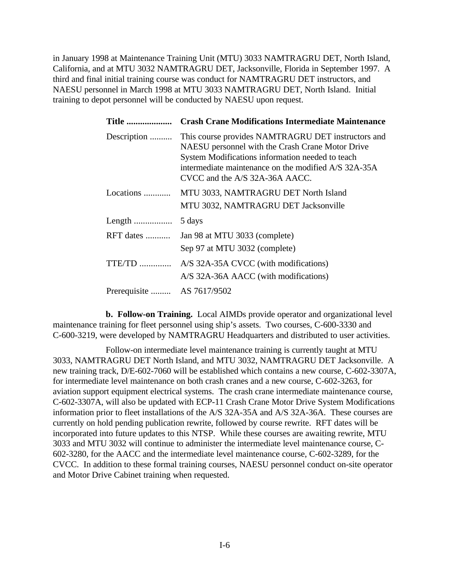in January 1998 at Maintenance Training Unit (MTU) 3033 NAMTRAGRU DET, North Island, California, and at MTU 3032 NAMTRAGRU DET, Jacksonville, Florida in September 1997. A third and final initial training course was conduct for NAMTRAGRU DET instructors, and NAESU personnel in March 1998 at MTU 3033 NAMTRAGRU DET, North Island. Initial training to depot personnel will be conducted by NAESU upon request.

| <b>Title </b>              | <b>Crash Crane Modifications Intermediate Maintenance</b>                                                                                                                                                                                                |
|----------------------------|----------------------------------------------------------------------------------------------------------------------------------------------------------------------------------------------------------------------------------------------------------|
| Description                | This course provides NAMTRAGRU DET instructors and<br>NAESU personnel with the Crash Crane Motor Drive<br>System Modifications information needed to teach<br>intermediate maintenance on the modified A/S 32A-35A<br>$CVCC$ and the $A/S$ 32A-36A AACC. |
| Locations                  | MTU 3033, NAMTRAGRU DET North Island<br>MTU 3032, NAMTRAGRU DET Jacksonville                                                                                                                                                                             |
|                            | 5 days                                                                                                                                                                                                                                                   |
| RFT dates                  | Jan 98 at MTU 3033 (complete)<br>Sep 97 at MTU 3032 (complete)                                                                                                                                                                                           |
| $TTE/TD$                   | A/S 32A-35A CVCC (with modifications)<br>A/S 32A-36A AACC (with modifications)                                                                                                                                                                           |
| Prerequisite  AS 7617/9502 |                                                                                                                                                                                                                                                          |

**b. Follow-on Training.** Local AIMDs provide operator and organizational level maintenance training for fleet personnel using ship's assets. Two courses, C-600-3330 and C-600-3219, were developed by NAMTRAGRU Headquarters and distributed to user activities.

Follow-on intermediate level maintenance training is currently taught at MTU 3033, NAMTRAGRU DET North Island, and MTU 3032, NAMTRAGRU DET Jacksonville. A new training track, D/E-602-7060 will be established which contains a new course, C-602-3307A, for intermediate level maintenance on both crash cranes and a new course, C-602-3263, for aviation support equipment electrical systems. The crash crane intermediate maintenance course, C-602-3307A, will also be updated with ECP-11 Crash Crane Motor Drive System Modifications information prior to fleet installations of the A/S 32A-35A and A/S 32A-36A. These courses are currently on hold pending publication rewrite, followed by course rewrite. RFT dates will be incorporated into future updates to this NTSP. While these courses are awaiting rewrite, MTU 3033 and MTU 3032 will continue to administer the intermediate level maintenance course, C-602-3280, for the AACC and the intermediate level maintenance course, C-602-3289, for the CVCC. In addition to these formal training courses, NAESU personnel conduct on-site operator and Motor Drive Cabinet training when requested.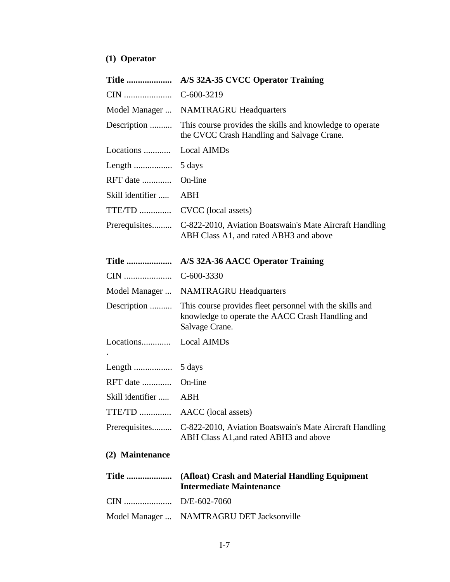# **(1) Operator**

| <b>Title </b>    | A/S 32A-35 CVCC Operator Training                                                                                              |
|------------------|--------------------------------------------------------------------------------------------------------------------------------|
| CIN              | $C-600-3219$                                                                                                                   |
| Model Manager    | <b>NAMTRAGRU Headquarters</b>                                                                                                  |
| Description      | This course provides the skills and knowledge to operate<br>the CVCC Crash Handling and Salvage Crane.                         |
| Locations        | Local AIMDs                                                                                                                    |
|                  | 5 days                                                                                                                         |
| RFT date         | On-line                                                                                                                        |
| Skill identifier | <b>ABH</b>                                                                                                                     |
|                  | TTE/TD  CVCC (local assets)                                                                                                    |
|                  | Prerequisites C-822-2010, Aviation Boatswain's Mate Aircraft Handling<br>ABH Class A1, and rated ABH3 and above                |
| <b>Title </b>    | A/S 32A-36 AACC Operator Training                                                                                              |
| CIN              | $C-600-3330$                                                                                                                   |
| Model Manager    | <b>NAMTRAGRU Headquarters</b>                                                                                                  |
| Description      | This course provides fleet personnel with the skills and<br>knowledge to operate the AACC Crash Handling and<br>Salvage Crane. |
| Locations        | <b>Local AIMDs</b>                                                                                                             |
|                  | 5 days                                                                                                                         |
| RFT date         | On-line                                                                                                                        |
| Skill identifier | ABH                                                                                                                            |
|                  | TTE/TD  AACC (local assets)                                                                                                    |
|                  | Prerequisites C-822-2010, Aviation Boatswain's Mate Aircraft Handling<br>ABH Class A1, and rated ABH3 and above                |
| (2) Maintenance  |                                                                                                                                |
| <b>Title </b>    | (Afloat) Crash and Material Handling Equipment<br><b>Intermediate Maintenance</b>                                              |
|                  |                                                                                                                                |
|                  | Model Manager  NAMTRAGRU DET Jacksonville                                                                                      |
|                  |                                                                                                                                |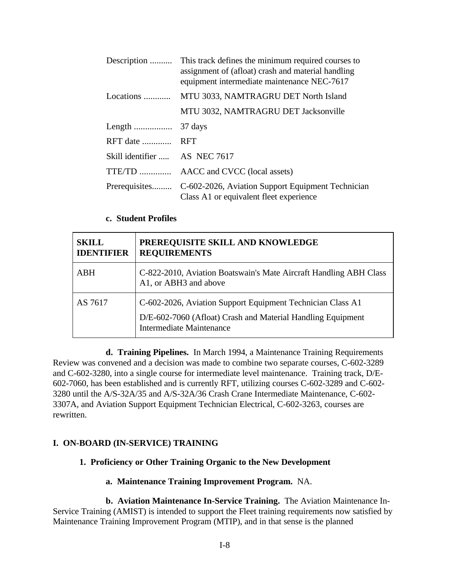| Description                   | This track defines the minimum required courses to<br>assignment of (afloat) crash and material handling<br>equipment intermediate maintenance NEC-7617 |
|-------------------------------|---------------------------------------------------------------------------------------------------------------------------------------------------------|
| Locations                     | MTU 3033, NAMTRAGRU DET North Island                                                                                                                    |
|                               | MTU 3032, NAMTRAGRU DET Jacksonville                                                                                                                    |
|                               |                                                                                                                                                         |
| RFT date  RFT                 |                                                                                                                                                         |
| Skill identifier  AS NEC 7617 |                                                                                                                                                         |
|                               | TTE/TD  AACC and CVCC (local assets)                                                                                                                    |
|                               | Prerequisites C-602-2026, Aviation Support Equipment Technician<br>Class A1 or equivalent fleet experience                                              |

#### **c. Student Profiles**

<span id="page-14-0"></span>

| <b>SKILL</b><br><b>IDENTIFIER</b> | PREREQUISITE SKILL AND KNOWLEDGE<br><b>REQUIREMENTS</b>                                                                                               |
|-----------------------------------|-------------------------------------------------------------------------------------------------------------------------------------------------------|
| ABH                               | C-822-2010, Aviation Boatswain's Mate Aircraft Handling ABH Class<br>A1, or ABH3 and above                                                            |
| AS 7617                           | C-602-2026, Aviation Support Equipment Technician Class A1<br>D/E-602-7060 (Afloat) Crash and Material Handling Equipment<br>Intermediate Maintenance |

**d. Training Pipelines.** In March 1994, a Maintenance Training Requirements Review was convened and a decision was made to combine two separate courses, C-602-3289 and C-602-3280, into a single course for intermediate level maintenance. Training track, D/E-602-7060, has been established and is currently RFT, utilizing courses C-602-3289 and C-602- 3280 until the A/S-32A/35 and A/S-32A/36 Crash Crane Intermediate Maintenance, C-602- 3307A, and Aviation Support Equipment Technician Electrical, C-602-3263, courses are rewritten.

#### **I. ON-BOARD (IN-SERVICE) TRAINING**

#### **1. Proficiency or Other Training Organic to the New Development**

#### **a. Maintenance Training Improvement Program.** NA.

**b. Aviation Maintenance In-Service Training.** The Aviation Maintenance In-Service Training (AMIST) is intended to support the Fleet training requirements now satisfied by Maintenance Training Improvement Program (MTIP), and in that sense is the planned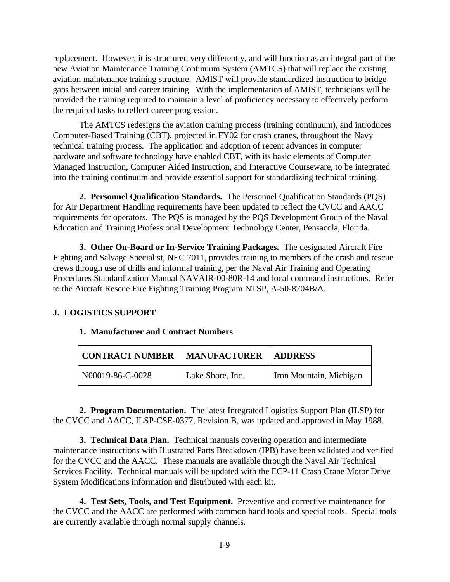replacement. However, it is structured very differently, and will function as an integral part of the new Aviation Maintenance Training Continuum System (AMTCS) that will replace the existing aviation maintenance training structure. AMIST will provide standardized instruction to bridge gaps between initial and career training. With the implementation of AMIST, technicians will be provided the training required to maintain a level of proficiency necessary to effectively perform the required tasks to reflect career progression.

The AMTCS redesigns the aviation training process (training continuum), and introduces Computer-Based Training (CBT), projected in FY02 for crash cranes, throughout the Navy technical training process. The application and adoption of recent advances in computer hardware and software technology have enabled CBT, with its basic elements of Computer Managed Instruction, Computer Aided Instruction, and Interactive Courseware, to be integrated into the training continuum and provide essential support for standardizing technical training.

**2. Personnel Qualification Standards.** The Personnel Qualification Standards (PQS) for Air Department Handling requirements have been updated to reflect the CVCC and AACC requirements for operators. The PQS is managed by the PQS Development Group of the Naval Education and Training Professional Development Technology Center, Pensacola, Florida.

<span id="page-15-0"></span>**3. Other On-Board or In-Service Training Packages.** The designated Aircraft Fire Fighting and Salvage Specialist, NEC 7011, provides training to members of the crash and rescue crews through use of drills and informal training, per the Naval Air Training and Operating Procedures Standardization Manual NAVAIR-00-80R-14 and local command instructions. Refer to the Aircraft Rescue Fire Fighting Training Program NTSP, A-50-8704B/A.

#### **J. LOGISTICS SUPPORT**

#### **1. Manufacturer and Contract Numbers**

| <b>CONTRACT NUMBER</b> | <b>MANUFACTURER</b> | <b>ADDRESS</b>          |
|------------------------|---------------------|-------------------------|
| N00019-86-C-0028       | Lake Shore, Inc.    | Iron Mountain, Michigan |

**2. Program Documentation.** The latest Integrated Logistics Support Plan (ILSP) for the CVCC and AACC, ILSP-CSE-0377, Revision B, was updated and approved in May 1988.

**3. Technical Data Plan.** Technical manuals covering operation and intermediate maintenance instructions with Illustrated Parts Breakdown (IPB) have been validated and verified for the CVCC and the AACC. These manuals are available through the Naval Air Technical Services Facility. Technical manuals will be updated with the ECP-11 Crash Crane Motor Drive System Modifications information and distributed with each kit.

**4. Test Sets, Tools, and Test Equipment.** Preventive and corrective maintenance for the CVCC and the AACC are performed with common hand tools and special tools. Special tools are currently available through normal supply channels.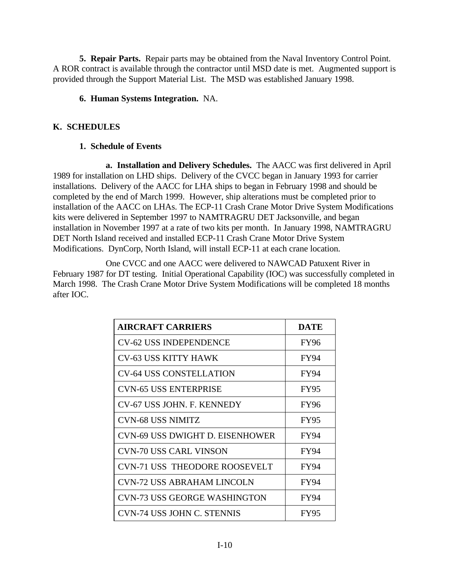**5. Repair Parts.** Repair parts may be obtained from the Naval Inventory Control Point. A ROR contract is available through the contractor until MSD date is met. Augmented support is provided through the Support Material List. The MSD was established January 1998.

## **6. Human Systems Integration.** NA.

# <span id="page-16-0"></span>**K. SCHEDULES**

# **1. Schedule of Events**

**a. Installation and Delivery Schedules.** The AACC was first delivered in April 1989 for installation on LHD ships. Delivery of the CVCC began in January 1993 for carrier installations. Delivery of the AACC for LHA ships to began in February 1998 and should be completed by the end of March 1999. However, ship alterations must be completed prior to installation of the AACC on LHAs. The ECP-11 Crash Crane Motor Drive System Modifications kits were delivered in September 1997 to NAMTRAGRU DET Jacksonville, and began installation in November 1997 at a rate of two kits per month. In January 1998, NAMTRAGRU DET North Island received and installed ECP-11 Crash Crane Motor Drive System Modifications. DynCorp, North Island, will install ECP-11 at each crane location.

One CVCC and one AACC were delivered to NAWCAD Patuxent River in February 1987 for DT testing. Initial Operational Capability (IOC) was successfully completed in March 1998. The Crash Crane Motor Drive System Modifications will be completed 18 months after IOC.

| <b>AIRCRAFT CARRIERS</b>               | DATE        |
|----------------------------------------|-------------|
| <b>CV-62 USS INDEPENDENCE</b>          | <b>FY96</b> |
| <b>CV-63 USS KITTY HAWK</b>            | FY94        |
| <b>CV-64 USS CONSTELLATION</b>         | <b>FY94</b> |
| <b>CVN-65 USS ENTERPRISE</b>           | <b>FY95</b> |
| CV-67 USS JOHN. F. KENNEDY             | <b>FY96</b> |
| <b>CVN-68 USS NIMITZ</b>               | <b>FY95</b> |
| <b>CVN-69 USS DWIGHT D. EISENHOWER</b> | FY94        |
| CVN-70 USS CARL VINSON                 | <b>FY94</b> |
| <b>CVN-71 USS THEODORE ROOSEVELT</b>   | <b>FY94</b> |
| <b>CVN-72 USS ABRAHAM LINCOLN</b>      | FY94        |
| <b>CVN-73 USS GEORGE WASHINGTON</b>    | FY94        |
| CVN-74 USS JOHN C. STENNIS             | <b>FY95</b> |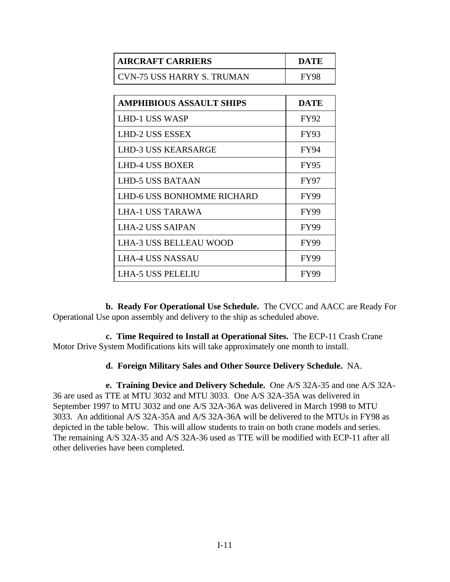| <b>AIRCRAFT CARRIERS</b>   | DATE        |
|----------------------------|-------------|
| CVN-75 USS HARRY S. TRUMAN | <b>FY98</b> |

| <b>AMPHIBIOUS ASSAULT SHIPS</b> | <b>DATE</b> |
|---------------------------------|-------------|
| <b>LHD-1 USS WASP</b>           | <b>FY92</b> |
| <b>LHD-2 USS ESSEX</b>          | <b>FY93</b> |
| <b>LHD-3 USS KEARSARGE</b>      | FY94        |
| <b>LHD-4 USS BOXER</b>          | <b>FY95</b> |
| LHD-5 USS BATAAN                | <b>FY97</b> |
| LHD-6 USS BONHOMME RICHARD      | <b>FY99</b> |
| LHA-1 USS TARAWA                | <b>FY99</b> |
| <b>LHA-2 USS SAIPAN</b>         | <b>FY99</b> |
| <b>LHA-3 USS BELLEAU WOOD</b>   | <b>FY99</b> |
| <b>LHA-4 USS NASSAU</b>         | <b>FY99</b> |
| <b>LHA-5 USS PELELIU</b>        | FY99        |
|                                 |             |

**b. Ready For Operational Use Schedule.** The CVCC and AACC are Ready For Operational Use upon assembly and delivery to the ship as scheduled above.

**c. Time Required to Install at Operational Sites.** The ECP-11 Crash Crane Motor Drive System Modifications kits will take approximately one month to install.

#### **d. Foreign Military Sales and Other Source Delivery Schedule.** NA.

**e. Training Device and Delivery Schedule.** One A/S 32A-35 and one A/S 32A-36 are used as TTE at MTU 3032 and MTU 3033. One A/S 32A-35A was delivered in September 1997 to MTU 3032 and one A/S 32A-36A was delivered in March 1998 to MTU 3033. An additional A/S 32A-35A and A/S 32A-36A will be delivered to the MTUs in FY98 as depicted in the table below. This will allow students to train on both crane models and series. The remaining A/S 32A-35 and A/S 32A-36 used as TTE will be modified with ECP-11 after all other deliveries have been completed.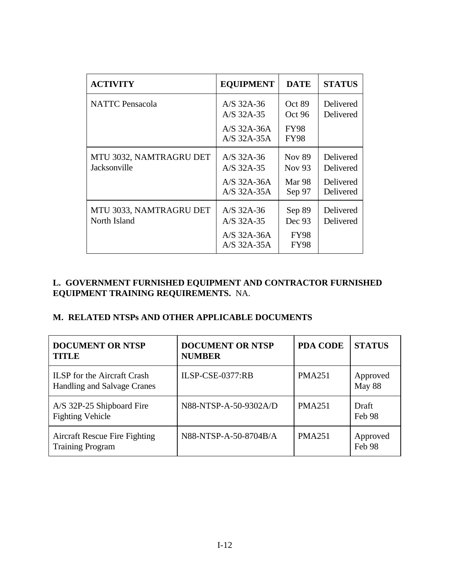| <b>ACTIVITY</b>                         | <b>EQUIPMENT</b>                                             | <b>DATE</b>                       | <b>STATUS</b>                                    |
|-----------------------------------------|--------------------------------------------------------------|-----------------------------------|--------------------------------------------------|
| <b>NATTC</b> Pensacola                  | A/S $32A-36$<br>A/S 32A-35                                   | Oct 89<br>Oct 96                  | Delivered<br>Delivered                           |
|                                         | $A/S$ 32A-36A<br>$A/S$ 32A-35A                               | <b>FY98</b><br><b>FY98</b>        |                                                  |
| MTU 3032, NAMTRAGRU DET<br>Jacksonville | $A/S$ 32A-36<br>$A/S$ 32A-35<br>$A/S$ 32A-36A<br>A/S 32A-35A | <b>Nov 89</b><br>Nov 93<br>Mar 98 | Delivered<br>Delivered<br>Delivered<br>Delivered |
| MTU 3033, NAMTRAGRU DET<br>North Island | A/S 32A-36<br>A/S 32A-35                                     | Sep 97<br>Sep 89<br>Dec 93        | Delivered<br>Delivered                           |
|                                         | $A/S$ 32A-36A<br>A/S 32A-35A                                 | <b>FY98</b><br><b>FY98</b>        |                                                  |

# **L. GOVERNMENT FURNISHED EQUIPMENT AND CONTRACTOR FURNISHED EQUIPMENT TRAINING REQUIREMENTS.** NA.

### **M. RELATED NTSPs AND OTHER APPLICABLE DOCUMENTS**

| <b>DOCUMENT OR NTSP</b><br><b>TITLE</b>                           | <b>DOCUMENT OR NTSP</b><br><b>NUMBER</b> | <b>PDA CODE</b> | <b>STATUS</b>      |
|-------------------------------------------------------------------|------------------------------------------|-----------------|--------------------|
| <b>ILSP</b> for the Aircraft Crash<br>Handling and Salvage Cranes | $ILSP-CSE-0377:RB$                       | <b>PMA251</b>   | Approved<br>May 88 |
| A/S 32P-25 Shipboard Fire<br><b>Fighting Vehicle</b>              | N88-NTSP-A-50-9302A/D                    | <b>PMA251</b>   | Draft<br>Feb 98    |
| <b>Aircraft Rescue Fire Fighting</b><br><b>Training Program</b>   | N88-NTSP-A-50-8704B/A                    | <b>PMA251</b>   | Approved<br>Feb 98 |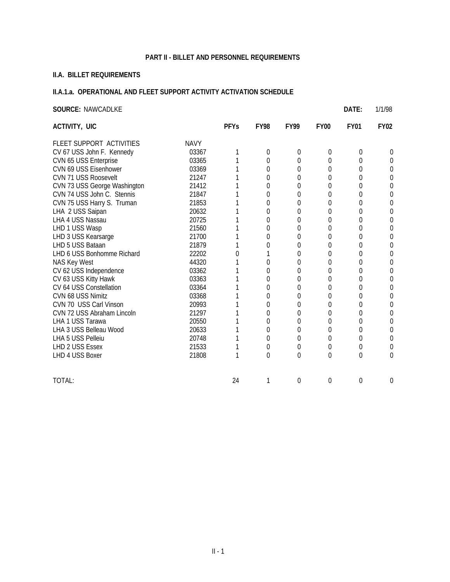#### **PART II - BILLET AND PERSONNEL REQUIREMENTS**

# <span id="page-19-0"></span>**II.A. BILLET REQUIREMENTS**

#### **II.A.1.a. OPERATIONAL AND FLEET SUPPORT ACTIVITY ACTIVATION SCHEDULE**

| <b>SOURCE: NAWCADLKE</b>     |             |             |             |             |             | DATE:       | 1/1/98      |
|------------------------------|-------------|-------------|-------------|-------------|-------------|-------------|-------------|
| ACTIVITY, UIC                |             | <b>PFYs</b> | <b>FY98</b> | <b>FY99</b> | <b>FY00</b> | <b>FY01</b> | <b>FY02</b> |
| FLEET SUPPORT ACTIVITIES     | <b>NAVY</b> |             |             |             |             |             |             |
| CV 67 USS John F. Kennedy    | 03367       | 1           | 0           | 0           | 0           | 0           | 0           |
| CVN 65 USS Enterprise        | 03365       |             | 0           | 0           | 0           | $\Omega$    | 0           |
| CVN 69 USS Eisenhower        | 03369       |             | 0           | 0           | 0           | $\Omega$    | 0           |
| CVN 71 USS Roosevelt         | 21247       |             | 0           | 0           | 0           | 0           | 0           |
| CVN 73 USS George Washington | 21412       |             | 0           | 0           | 0           | 0           | 0           |
| CVN 74 USS John C. Stennis   | 21847       |             | 0           | 0           | 0           | 0           | 0           |
| CVN 75 USS Harry S. Truman   | 21853       |             | 0           | 0           | $\Omega$    | 0           | 0           |
| LHA 2 USS Saipan             | 20632       |             | 0           | 0           | 0           | 0           | 0           |
| LHA 4 USS Nassau             | 20725       |             | 0           | 0           | 0           | 0           | 0           |
| LHD 1 USS Wasp               | 21560       |             | $\Omega$    | 0           | 0           | 0           | 0           |
| LHD 3 USS Kearsarge          | 21700       |             | 0           | $\mathbf 0$ | 0           | 0           | 0           |
| LHD 5 USS Bataan             | 21879       |             | 0           | 0           | 0           | $\Omega$    | 0           |
| LHD 6 USS Bonhomme Richard   | 22202       | 0           |             | $\mathbf 0$ | 0           | 0           | 0           |
| NAS Key West                 | 44320       |             | $\Omega$    | 0           | 0           | $\Omega$    | 0           |
| CV 62 USS Independence       | 03362       |             | 0           | 0           | 0           | 0           | 0           |
| CV 63 USS Kitty Hawk         | 03363       |             | 0           | 0           | 0           | 0           | 0           |
| CV 64 USS Constellation      | 03364       |             | 0           | 0           | 0           | 0           | 0           |
| CVN 68 USS Nimitz            | 03368       |             | 0           | 0           | 0           | 0           | 0           |
| CVN 70 USS Carl Vinson       | 20993       |             | 0           | 0           | $\Omega$    | $\Omega$    | 0           |
| CVN 72 USS Abraham Lincoln   | 21297       |             | 0           | $\mathbf 0$ | 0           | 0           | 0           |
| LHA 1 USS Tarawa             | 20550       |             | 0           | 0           | 0           | 0           | 0           |
| LHA 3 USS Belleau Wood       | 20633       |             | 0           | 0           | 0           | $\theta$    | 0           |
| LHA 5 USS Pelleiu            | 20748       |             | 0           | 0           | 0           | 0           | 0           |
| LHD 2 USS Essex              | 21533       | 1           | $\mathbf 0$ | $\mathbf 0$ | 0           | $\mathbf 0$ | 0           |
| LHD 4 USS Boxer              | 21808       | 1           | $\Omega$    | 0           | $\Omega$    | $\theta$    | 0           |
| TOTAL:                       |             | 24          | 1           | $\Omega$    | $\Omega$    | $\theta$    | 0           |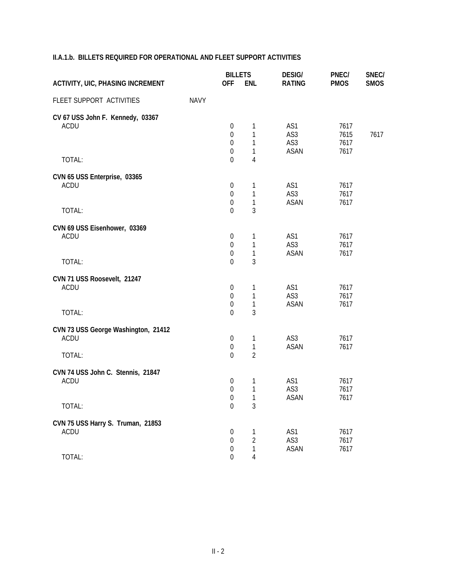|  |  |  |  |  |  |  | <b>II.A.1.b. BILLETS REQUIRED FOR OPERATIONAL AND FLEET SUPPORT ACTIVITIES</b> |
|--|--|--|--|--|--|--|--------------------------------------------------------------------------------|
|--|--|--|--|--|--|--|--------------------------------------------------------------------------------|

|                                                              |             | <b>BILLETS</b>                                                             |                               | <b>DESIG/</b>             | PNEC/                | SNEC/       |
|--------------------------------------------------------------|-------------|----------------------------------------------------------------------------|-------------------------------|---------------------------|----------------------|-------------|
| <b>ACTIVITY, UIC, PHASING INCREMENT</b>                      |             | <b>OFF</b>                                                                 | <b>ENL</b>                    | <b>RATING</b>             | <b>PMOS</b>          | <b>SMOS</b> |
| FLEET SUPPORT ACTIVITIES                                     | <b>NAVY</b> |                                                                            |                               |                           |                      |             |
| CV 67 USS John F. Kennedy, 03367<br><b>ACDU</b>              |             | $\boldsymbol{0}$<br>$\mathbf 0$<br>0                                       | 1<br>1<br>1                   | AS1<br>AS3<br>AS3         | 7617<br>7615<br>7617 | 7617        |
| TOTAL:                                                       |             | $\boldsymbol{0}$<br>$\overline{0}$                                         | 1<br>4                        | <b>ASAN</b>               | 7617                 |             |
| CVN 65 USS Enterprise, 03365<br><b>ACDU</b>                  |             | $\boldsymbol{0}$<br>$\boldsymbol{0}$<br>$\mathbf 0$                        | 1<br>1<br>$\mathbf{1}$        | AS1<br>AS3<br><b>ASAN</b> | 7617<br>7617<br>7617 |             |
| TOTAL:                                                       |             | $\overline{0}$                                                             | $\overline{3}$                |                           |                      |             |
| CVN 69 USS Eisenhower, 03369<br><b>ACDU</b><br>TOTAL:        |             | $\boldsymbol{0}$<br>$\boldsymbol{0}$<br>$\boldsymbol{0}$<br>$\overline{0}$ | 1<br>1<br>$\mathbf{1}$<br>3   | AS1<br>AS3<br><b>ASAN</b> | 7617<br>7617<br>7617 |             |
| CVN 71 USS Roosevelt, 21247<br><b>ACDU</b><br>TOTAL:         |             | $\boldsymbol{0}$<br>$\mathbf 0$<br>$\mathbf 0$<br>$\Omega$                 | 1<br>1<br>1<br>$\overline{3}$ | AS1<br>AS3<br><b>ASAN</b> | 7617<br>7617<br>7617 |             |
| CVN 73 USS George Washington, 21412<br><b>ACDU</b><br>TOTAL: |             | $\boldsymbol{0}$<br>$\boldsymbol{0}$<br>$\mathbf 0$                        | 1<br>1<br>$\overline{2}$      | AS3<br><b>ASAN</b>        | 7617<br>7617         |             |
| CVN 74 USS John C. Stennis, 21847<br><b>ACDU</b>             |             | $\boldsymbol{0}$<br>$\boldsymbol{0}$<br>$\boldsymbol{0}$                   | 1<br>1<br>1                   | AS1<br>AS3<br>ASAN        | 7617<br>7617<br>7617 |             |
| TOTAL:                                                       |             | $\mathbf 0$                                                                | 3                             |                           |                      |             |
| CVN 75 USS Harry S. Truman, 21853<br>ACDU                    |             | $\boldsymbol{0}$<br>$\boldsymbol{0}$<br>$\boldsymbol{0}$                   | 1<br>$\overline{2}$<br>1      | AS1<br>AS3<br>ASAN        | 7617<br>7617<br>7617 |             |
| TOTAL:                                                       |             | $\boldsymbol{0}$                                                           | 4                             |                           |                      |             |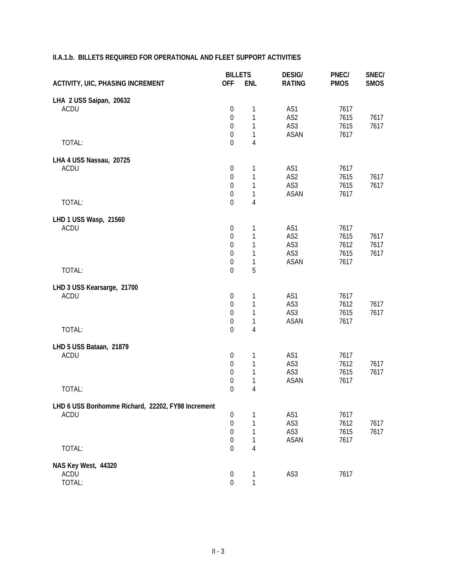#### **II.A.1.b. BILLETS REQUIRED FOR OPERATIONAL AND FLEET SUPPORT ACTIVITIES**

|                                                   | <b>BILLETS</b>   |                | <b>DESIG/</b>   | PNEC/       | SNEC/       |
|---------------------------------------------------|------------------|----------------|-----------------|-------------|-------------|
| <b>ACTIVITY, UIC, PHASING INCREMENT</b>           | <b>OFF</b>       | <b>ENL</b>     | <b>RATING</b>   | <b>PMOS</b> | <b>SMOS</b> |
| LHA 2 USS Saipan, 20632                           |                  |                |                 |             |             |
| <b>ACDU</b>                                       | $\boldsymbol{0}$ | 1              | AS1             | 7617        |             |
|                                                   | $\boldsymbol{0}$ | $\mathbf{1}$   | AS <sub>2</sub> | 7615        | 7617        |
|                                                   | $\boldsymbol{0}$ | $\mathbf{1}$   | AS3             | 7615        | 7617        |
|                                                   | $\boldsymbol{0}$ | $\mathbf{1}$   | <b>ASAN</b>     | 7617        |             |
| TOTAL:                                            | $\boldsymbol{0}$ | $\overline{4}$ |                 |             |             |
| LHA 4 USS Nassau, 20725                           |                  |                |                 |             |             |
| <b>ACDU</b>                                       | $\boldsymbol{0}$ | $\mathbf 1$    | AS1             | 7617        |             |
|                                                   | $\boldsymbol{0}$ | $\mathbf 1$    | AS <sub>2</sub> | 7615        | 7617        |
|                                                   | $\mathbf 0$      | 1              | AS3             | 7615        | 7617        |
|                                                   | $\boldsymbol{0}$ | 1              | <b>ASAN</b>     | 7617        |             |
| TOTAL:                                            | $\mathbf 0$      | $\overline{4}$ |                 |             |             |
| LHD 1 USS Wasp, 21560                             |                  |                |                 |             |             |
| <b>ACDU</b>                                       | $\boldsymbol{0}$ | 1              | AS1             | 7617        |             |
|                                                   | $\boldsymbol{0}$ | $\mathbf{1}$   | AS <sub>2</sub> | 7615        | 7617        |
|                                                   | $\boldsymbol{0}$ | $\mathbf{1}$   | AS3             | 7612        | 7617        |
|                                                   | $\boldsymbol{0}$ | $\mathbf{1}$   | AS3             | 7615        | 7617        |
|                                                   | $\mathbf 0$      | $\mathbf{1}$   | <b>ASAN</b>     | 7617        |             |
| TOTAL:                                            | $\mathbf 0$      | 5              |                 |             |             |
| LHD 3 USS Kearsarge, 21700                        |                  |                |                 |             |             |
| ACDU                                              | $\boldsymbol{0}$ | 1              | AS1             | 7617        |             |
|                                                   | $\boldsymbol{0}$ | $\mathbf{1}$   | AS3             | 7612        | 7617        |
|                                                   | $\boldsymbol{0}$ | $\mathbf{1}$   | AS3             | 7615        | 7617        |
|                                                   | $\mathbf 0$      | $\mathbf{1}$   | <b>ASAN</b>     | 7617        |             |
| TOTAL:                                            | $\mathbf 0$      | $\overline{4}$ |                 |             |             |
| LHD 5 USS Bataan, 21879                           |                  |                |                 |             |             |
| <b>ACDU</b>                                       | $\boldsymbol{0}$ | 1              | AS1             | 7617        |             |
|                                                   | $\boldsymbol{0}$ | $\mathbf 1$    | AS3             | 7612        | 7617        |
|                                                   | $\boldsymbol{0}$ | $\mathbf{1}$   | AS3             | 7615        | 7617        |
|                                                   | $\mathbf 0$      | $\mathbf 1$    | <b>ASAN</b>     | 7617        |             |
| TOTAL:                                            | $\boldsymbol{0}$ | 4              |                 |             |             |
| LHD 6 USS Bonhomme Richard, 22202, FY98 Increment |                  |                |                 |             |             |
| <b>ACDU</b>                                       | $\boldsymbol{0}$ | 1              | AS1             | 7617        |             |
|                                                   | $\boldsymbol{0}$ | 1              | AS3             | 7612        | 7617        |
|                                                   | 0                | 1              | AS3             | 7615        | 7617        |
|                                                   | $\mathbf 0$      | 1              | <b>ASAN</b>     | 7617        |             |
| TOTAL:                                            | $\mathbf 0$      | $\overline{4}$ |                 |             |             |
| NAS Key West, 44320                               |                  |                |                 |             |             |
| ACDU                                              | $\boldsymbol{0}$ | 1              | AS3             | 7617        |             |
| TOTAL:                                            | $\boldsymbol{0}$ | $\mathbf{1}$   |                 |             |             |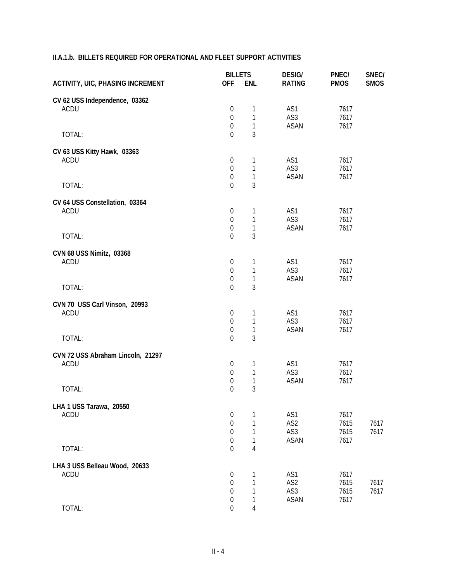### **II.A.1.b. BILLETS REQUIRED FOR OPERATIONAL AND FLEET SUPPORT ACTIVITIES**

|                                                     | <b>BILLETS</b>                                                             |                             | <b>DESIG/</b>                    | PNEC/                        | SNEC/        |
|-----------------------------------------------------|----------------------------------------------------------------------------|-----------------------------|----------------------------------|------------------------------|--------------|
| <b>ACTIVITY, UIC, PHASING INCREMENT</b>             | <b>OFF</b>                                                                 | <b>ENL</b>                  | <b>RATING</b>                    | <b>PMOS</b>                  | <b>SMOS</b>  |
| CV 62 USS Independence, 03362<br>ACDU               | $\boldsymbol{0}$<br>$\boldsymbol{0}$                                       | 1<br>1                      | AS1<br>AS3                       | 7617<br>7617                 |              |
| TOTAL:                                              | $\boldsymbol{0}$<br>$\Omega$                                               | 1<br>3                      | <b>ASAN</b>                      | 7617                         |              |
| CV 63 USS Kitty Hawk, 03363<br><b>ACDU</b>          | $\boldsymbol{0}$<br>$\mathbf 0$<br>$\boldsymbol{0}$                        | 1<br>1<br>1                 | AS1<br>AS3<br>ASAN               | 7617<br>7617<br>7617         |              |
| TOTAL:                                              | $\overline{0}$                                                             | 3                           |                                  |                              |              |
| CV 64 USS Constellation, 03364<br><b>ACDU</b>       | $\boldsymbol{0}$<br>$\boldsymbol{0}$<br>$\boldsymbol{0}$                   | 1<br>$\mathbf{1}$<br>1      | AS1<br>AS3<br><b>ASAN</b>        | 7617<br>7617<br>7617         |              |
| TOTAL:                                              | $\mathbf 0$                                                                | 3                           |                                  |                              |              |
| CVN 68 USS Nimitz, 03368<br>ACDU                    | $\boldsymbol{0}$<br>$\boldsymbol{0}$<br>$\boldsymbol{0}$                   | 1<br>1<br>1                 | AS1<br>AS3<br><b>ASAN</b>        | 7617<br>7617<br>7617         |              |
| TOTAL:                                              | $\overline{0}$                                                             | 3                           |                                  |                              |              |
| CVN 70 USS Carl Vinson, 20993<br>ACDU<br>TOTAL:     | $\boldsymbol{0}$<br>$\boldsymbol{0}$<br>$\boldsymbol{0}$<br>$\overline{0}$ | 1<br>1<br>$\mathbf{1}$<br>3 | AS1<br>AS3<br><b>ASAN</b>        | 7617<br>7617<br>7617         |              |
| CVN 72 USS Abraham Lincoln, 21297<br>ACDU<br>TOTAL: | $\boldsymbol{0}$<br>$\boldsymbol{0}$<br>0<br>0                             | 1<br>1<br>1<br>3            | AS1<br>AS3<br><b>ASAN</b>        | 7617<br>7617<br>7617         |              |
| LHA 1 USS Tarawa, 20550<br>ACDU                     | $\mathbf 0$<br>$\boldsymbol{0}$<br>0<br>0                                  | 1<br>1<br>1<br>1            | AS1<br>AS2<br>AS3<br><b>ASAN</b> | 7617<br>7615<br>7615<br>7617 | 7617<br>7617 |
| TOTAL:                                              | 0                                                                          | $\overline{4}$              |                                  |                              |              |
| LHA 3 USS Belleau Wood, 20633<br><b>ACDU</b>        | $\mathbf 0$<br>$\boldsymbol{0}$<br>0<br>0                                  | 1<br>1<br>1<br>1            | AS1<br>AS2<br>AS3<br>ASAN        | 7617<br>7615<br>7615<br>7617 | 7617<br>7617 |
| TOTAL:                                              | $\boldsymbol{0}$                                                           | 4                           |                                  |                              |              |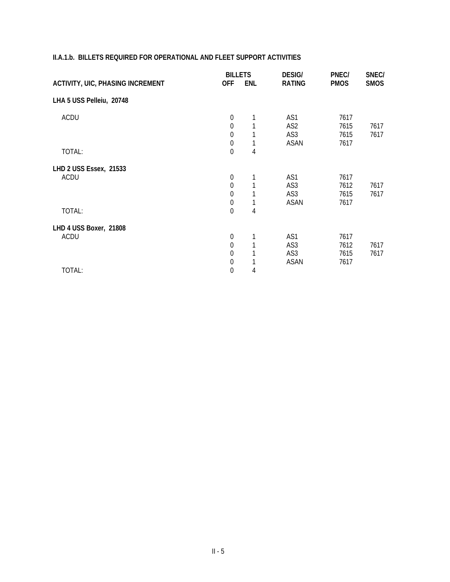|                                         | <b>BILLETS</b> |            | <b>DESIG/</b>   | PNEC/       | SNEC/       |
|-----------------------------------------|----------------|------------|-----------------|-------------|-------------|
| <b>ACTIVITY, UIC, PHASING INCREMENT</b> | <b>OFF</b>     | <b>ENL</b> | <b>RATING</b>   | <b>PMOS</b> | <b>SMOS</b> |
| LHA 5 USS Pelleiu, 20748                |                |            |                 |             |             |
| <b>ACDU</b>                             | $\mathbf 0$    | 1          | AS1             | 7617        |             |
|                                         | $\mathbf 0$    |            | AS <sub>2</sub> | 7615        | 7617        |
|                                         | $\mathbf 0$    |            | AS3             | 7615        | 7617        |
|                                         | $\mathbf 0$    |            | <b>ASAN</b>     | 7617        |             |
| TOTAL:                                  | $\mathbf 0$    | 4          |                 |             |             |
| LHD 2 USS Essex, 21533                  |                |            |                 |             |             |
| <b>ACDU</b>                             | $\mathbf 0$    |            | AS1             | 7617        |             |
|                                         | $\mathbf 0$    |            | AS3             | 7612        | 7617        |
|                                         | $\mathbf 0$    |            | AS3             | 7615        | 7617        |
|                                         | $\mathbf 0$    |            | <b>ASAN</b>     | 7617        |             |
| TOTAL:                                  | $\mathbf 0$    | 4          |                 |             |             |
| LHD 4 USS Boxer, 21808                  |                |            |                 |             |             |
| <b>ACDU</b>                             | $\mathbf 0$    | 1          | AS1             | 7617        |             |
|                                         | $\mathbf 0$    |            | AS3             | 7612        | 7617        |
|                                         | $\mathbf 0$    |            | AS3             | 7615        | 7617        |
|                                         | $\mathbf 0$    |            | <b>ASAN</b>     | 7617        |             |
| TOTAL:                                  | $\mathbf 0$    | 4          |                 |             |             |

#### **II.A.1.b. BILLETS REQUIRED FOR OPERATIONAL AND FLEET SUPPORT ACTIVITIES**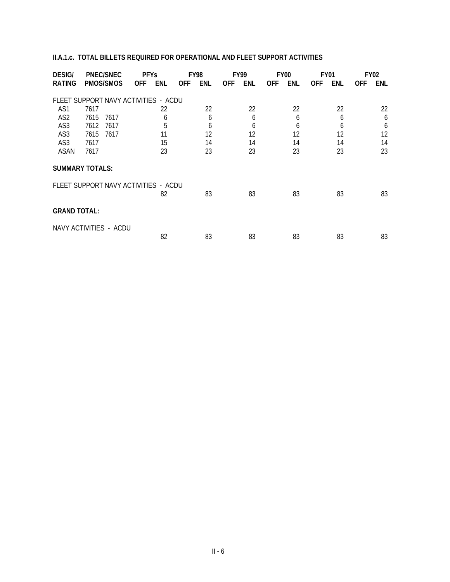#### **II.A.1.c. TOTAL BILLETS REQUIRED FOR OPERATIONAL AND FLEET SUPPORT ACTIVITIES**

| <b>DESIG/</b><br><b>PNEC/SNEC</b>    |      |                  | <b>PFYs</b> |     | <b>FY98</b> |     | <b>FY99</b> |     | <b>FY00</b> | <b>FY01</b> |            | <b>FY02</b> |            |     |
|--------------------------------------|------|------------------|-------------|-----|-------------|-----|-------------|-----|-------------|-------------|------------|-------------|------------|-----|
| RATING                               |      | <b>PMOS/SMOS</b> | <b>OFF</b>  | ENL | <b>OFF</b>  | ENL | <b>OFF</b>  | ENL | <b>OFF</b>  | ENL         | <b>OFF</b> | ENL         | <b>OFF</b> | ENL |
| FLEET SUPPORT NAVY ACTIVITIES - ACDU |      |                  |             |     |             |     |             |     |             |             |            |             |            |     |
| AS1                                  | 7617 |                  |             | 22  |             | 22  |             | 22  |             | 22          |            | 22          |            | 22  |
| AS <sub>2</sub>                      | 7615 | 7617             |             | 6   |             | 6   |             | 6   |             | 6           |            | 6           |            | 6   |
| AS3                                  | 7612 | 7617             |             | 5   |             | 6   |             | 6   |             | 6           |            | 6           |            | 6   |
| AS3                                  | 7615 | 7617             |             | 11  |             | 12  |             | 12  |             | 12          |            | 12          |            | 12  |
| AS3                                  | 7617 |                  |             | 15  |             | 14  |             | 14  |             | 14          |            | 14          |            | 14  |
| ASAN                                 | 7617 |                  |             | 23  |             | 23  |             | 23  |             | 23          |            | 23          |            | 23  |
| <b>SUMMARY TOTALS:</b>               |      |                  |             |     |             |     |             |     |             |             |            |             |            |     |
| FLEET SUPPORT NAVY ACTIVITIES - ACDU |      |                  |             |     |             |     |             |     |             |             |            |             |            |     |
|                                      |      |                  |             | 82  |             | 83  |             | 83  |             | 83          |            | 83          |            | 83  |
| <b>GRAND TOTAL:</b>                  |      |                  |             |     |             |     |             |     |             |             |            |             |            |     |
| NAVY ACTIVITIES - ACDU               |      |                  |             |     |             |     |             |     |             |             |            |             |            |     |
|                                      |      |                  |             | 82  |             | 83  |             | 83  |             | 83          |            | 83          |            | 83  |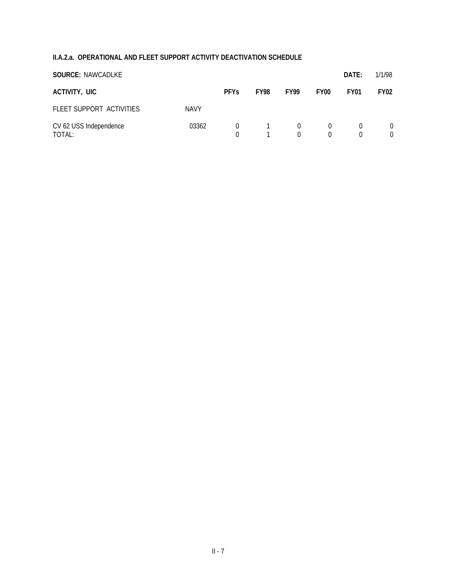## **II.A.2.a. OPERATIONAL AND FLEET SUPPORT ACTIVITY DEACTIVATION SCHEDULE**

| <b>SOURCE: NAWCADLKE</b>         |             |                      |             |                    |                  | DATE:                | 1/1/98               |
|----------------------------------|-------------|----------------------|-------------|--------------------|------------------|----------------------|----------------------|
| ACTIVITY, UIC                    |             | <b>PFYs</b>          | <b>FY98</b> | <b>FY99</b>        | FY <sub>00</sub> | <b>FY01</b>          | <b>FY02</b>          |
| FLEET SUPPORT ACTIVITIES         | <b>NAVY</b> |                      |             |                    |                  |                      |                      |
| CV 62 USS Independence<br>TOTAL: | 03362       | $\Omega$<br>$\Omega$ |             | $\Omega$<br>$\cap$ | $\Omega$         | $\Omega$<br>$\Omega$ | $\Omega$<br>$\Omega$ |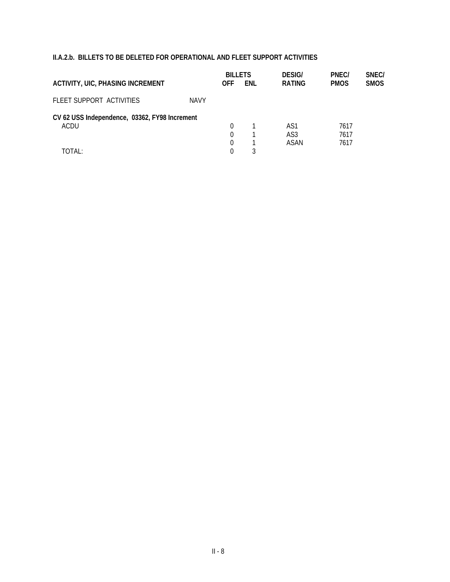#### **II.A.2.b. BILLETS TO BE DELETED FOR OPERATIONAL AND FLEET SUPPORT ACTIVITIES**

|                                               | <b>BILLETS</b> |            | <b>DESIG/</b> | PNEC/           | SNEC/       |             |
|-----------------------------------------------|----------------|------------|---------------|-----------------|-------------|-------------|
| <b>ACTIVITY, UIC, PHASING INCREMENT</b>       |                | <b>OFF</b> | ENL           | <b>RATING</b>   | <b>PMOS</b> | <b>SMOS</b> |
| FLEET SUPPORT ACTIVITIES                      | <b>NAVY</b>    |            |               |                 |             |             |
| CV 62 USS Independence, 03362, FY98 Increment |                |            |               |                 |             |             |
| ACDU                                          |                | 0          |               | AS1             | 7617        |             |
|                                               |                | 0          |               | AS <sub>3</sub> | 7617        |             |
|                                               |                | 0          |               | ASAN            | 7617        |             |
| TOTAL:                                        |                |            |               |                 |             |             |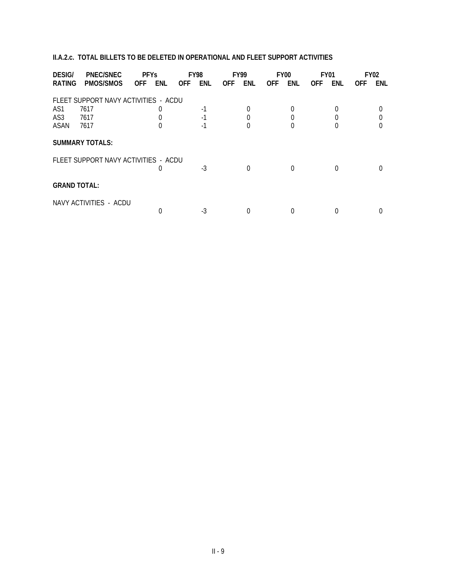#### **II.A.2.c. TOTAL BILLETS TO BE DELETED IN OPERATIONAL AND FLEET SUPPORT ACTIVITIES**

| <b>DESIG/</b>       | <b>PNEC/SNEC</b>                     | <b>PFYs</b>      | <b>FY98</b>       | <b>FY99</b>       | FY <sub>00</sub>  | FY01        | <b>FY02</b>       |
|---------------------|--------------------------------------|------------------|-------------------|-------------------|-------------------|-------------|-------------------|
| <b>RATING</b>       | <b>PMOS/SMOS</b>                     | ENL<br>OFF.      | ENL<br><b>OFF</b> | ENL<br><b>OFF</b> | ENL<br><b>OFF</b> | ENL<br>OFF. | ENL<br><b>OFF</b> |
|                     | FLEET SUPPORT NAVY ACTIVITIES - ACDU |                  |                   |                   |                   |             |                   |
| AS1                 | 7617                                 | $\left( \right)$ | $-1$              |                   |                   |             |                   |
| AS3                 | 7617                                 |                  | -1                |                   |                   |             |                   |
| ASAN                | 7617                                 |                  |                   |                   |                   |             |                   |
|                     | <b>SUMMARY TOTALS:</b>               |                  |                   |                   |                   |             |                   |
|                     | FLEET SUPPORT NAVY ACTIVITIES - ACDU |                  |                   |                   |                   |             |                   |
|                     |                                      |                  | -3                |                   | O                 |             |                   |
| <b>GRAND TOTAL:</b> |                                      |                  |                   |                   |                   |             |                   |
|                     | NAVY ACTIVITIES - ACDU               |                  |                   |                   |                   |             |                   |
|                     |                                      |                  | -3                |                   |                   |             |                   |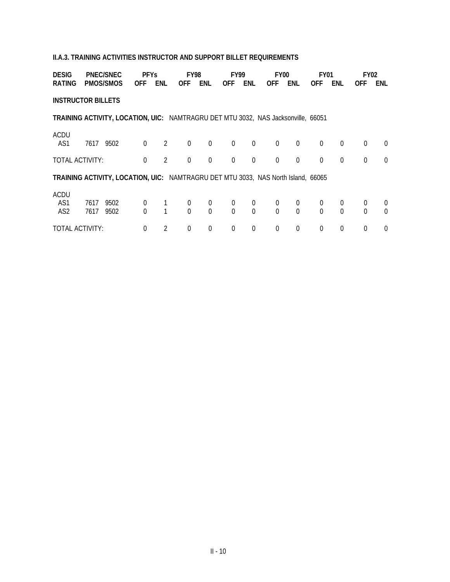#### **II.A.3. TRAINING ACTIVITIES INSTRUCTOR AND SUPPORT BILLET REQUIREMENTS**

| <b>DESIG</b><br><b>PNEC/SNEC</b>      |              |                                                                                          | <b>PFYs</b>                |                |                  | <b>FY98</b>                |                | <b>FY99</b>    |                | <b>FY00</b>                |                            | <b>FY01</b>          | <b>FY02</b> |                            |
|---------------------------------------|--------------|------------------------------------------------------------------------------------------|----------------------------|----------------|------------------|----------------------------|----------------|----------------|----------------|----------------------------|----------------------------|----------------------|-------------|----------------------------|
| RATING                                |              | PMOS/SMOS                                                                                | <b>OFF</b>                 | <b>ENL</b>     | <b>OFF</b>       | <b>ENL</b>                 | <b>OFF</b>     | ENL            | <b>OFF</b>     | ENL                        | <b>OFF</b>                 | ENL                  | <b>OFF</b>  | ENL                        |
| <b>INSTRUCTOR BILLETS</b>             |              |                                                                                          |                            |                |                  |                            |                |                |                |                            |                            |                      |             |                            |
|                                       |              | TRAINING ACTIVITY, LOCATION, UIC: NAMTRAGRU DET MTU 3032, NAS Jacksonville, 66051        |                            |                |                  |                            |                |                |                |                            |                            |                      |             |                            |
| <b>ACDU</b><br>AS1                    | 7617         | 9502                                                                                     | $\mathbf 0$                | 2              | $\boldsymbol{0}$ | $\overline{0}$             | $\overline{0}$ | $\mathbf 0$    | $\mathbf 0$    | $\overline{0}$             | $\theta$                   | $\overline{0}$       | 0           | $\Omega$                   |
| TOTAL ACTIVITY:                       |              |                                                                                          | $\mathbf 0$                | $\overline{2}$ | $\boldsymbol{0}$ | $\theta$                   | $\Omega$       | $\mathbf 0$    | $\mathbf 0$    | $\boldsymbol{0}$           | $\Omega$                   | $\Omega$             | $\Omega$    | $\Omega$                   |
|                                       |              | <b>TRAINING ACTIVITY, LOCATION, UIC: NAMTRAGRU DET MTU 3033, NAS North Island, 66065</b> |                            |                |                  |                            |                |                |                |                            |                            |                      |             |                            |
| <b>ACDU</b><br>AS1<br>AS <sub>2</sub> | 7617<br>7617 | 9502<br>9502                                                                             | $\overline{0}$<br>$\Omega$ |                | 0<br>$\Omega$    | $\overline{0}$<br>$\Omega$ | 0<br>$\Omega$  | 0<br>$\Omega$  | 0<br>$\Omega$  | $\overline{0}$<br>$\Omega$ | $\overline{0}$<br>$\Omega$ | $\Omega$<br>$\Omega$ | 0<br>0      | $\overline{0}$<br>$\Omega$ |
| TOTAL ACTIVITY:                       |              |                                                                                          | $\overline{0}$             | $\overline{2}$ | 0                | $\Omega$                   | $\Omega$       | $\overline{0}$ | $\overline{0}$ | $\overline{0}$             | $\theta$                   | $\Omega$             | 0           | $\Omega$                   |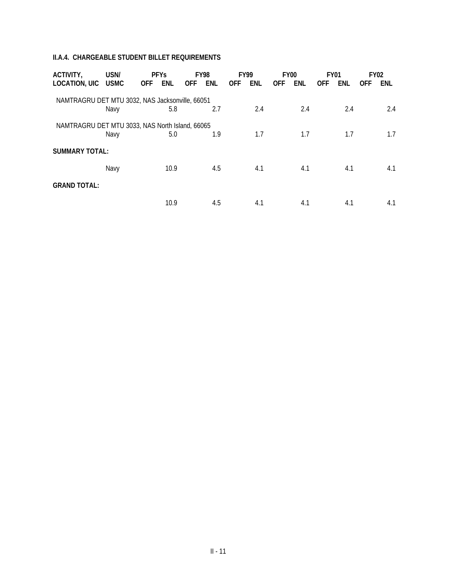#### **II.A.4. CHARGEABLE STUDENT BILLET REQUIREMENTS**

| ACTIVITY,<br>LOCATION, UIC USMC                 | USN/ | <b>PFYs</b><br><b>OFF</b> | ENL  | <b>OFF</b> | <b>FY98</b><br>ENL | <b>OFF</b> | <b>FY99</b><br>ENL | <b>OFF</b> | <b>FY00</b><br><b>ENL</b> | <b>FY01</b><br><b>OFF</b> | ENL | <b>FY02</b><br><b>OFF</b> | <b>ENL</b> |
|-------------------------------------------------|------|---------------------------|------|------------|--------------------|------------|--------------------|------------|---------------------------|---------------------------|-----|---------------------------|------------|
| NAMTRAGRU DET MTU 3032, NAS Jacksonville, 66051 |      |                           |      |            |                    |            |                    |            |                           |                           |     |                           |            |
|                                                 | Navy |                           | 5.8  |            | 2.7                |            | 2.4                |            | 2.4                       |                           | 2.4 |                           | 2.4        |
| NAMTRAGRU DET MTU 3033, NAS North Island, 66065 |      |                           |      |            |                    |            |                    |            |                           |                           |     |                           |            |
|                                                 | Navy |                           | 5.0  |            | 1.9                |            | 1.7                |            | 1.7                       |                           | 1.7 |                           | 1.7        |
| <b>SUMMARY TOTAL:</b>                           |      |                           |      |            |                    |            |                    |            |                           |                           |     |                           |            |
|                                                 | Navy |                           | 10.9 |            | 4.5                |            | 4.1                |            | 4.1                       |                           | 4.1 |                           | 4.1        |
| <b>GRAND TOTAL:</b>                             |      |                           |      |            |                    |            |                    |            |                           |                           |     |                           |            |
|                                                 |      |                           | 10.9 |            | 4.5                |            | 4.1                |            | 4.1                       |                           | 4.1 |                           | 4.1        |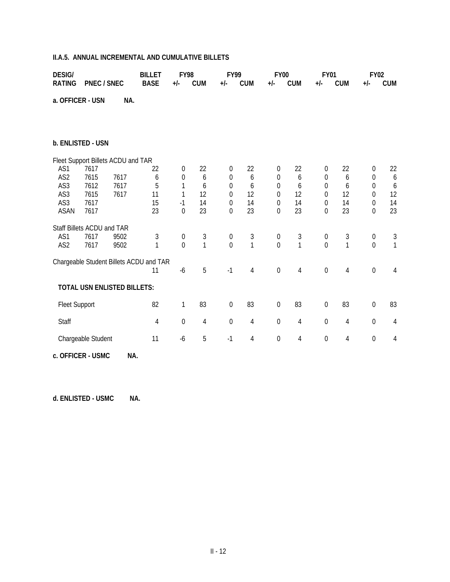#### **II.A.5. ANNUAL INCREMENTAL AND CUMULATIVE BILLETS**

| <b>DESIG/</b>        |                                    | <b>FY98</b><br><b>BILLET</b> |                                         |                  | <b>FY99</b>  |                  |              | <b>FY00</b>      |              | <b>FY01</b>      |                | <b>FY02</b>      |                |
|----------------------|------------------------------------|------------------------------|-----------------------------------------|------------------|--------------|------------------|--------------|------------------|--------------|------------------|----------------|------------------|----------------|
| <b>RATING</b>        | <b>PNEC / SNEC</b>                 |                              | <b>BASE</b>                             | $+/-$            | <b>CUM</b>   | +/-              | <b>CUM</b>   | $+/-$            | <b>CUM</b>   | $+/-$            | <b>CUM</b>     | $+/-$            | <b>CUM</b>     |
| a. OFFICER - USN     |                                    | NA.                          |                                         |                  |              |                  |              |                  |              |                  |                |                  |                |
|                      | b. ENLISTED - USN                  |                              |                                         |                  |              |                  |              |                  |              |                  |                |                  |                |
|                      | Fleet Support Billets ACDU and TAR |                              |                                         |                  |              |                  |              |                  |              |                  |                |                  |                |
| AS1                  | 7617                               |                              | 22                                      | $\mathbf 0$      | 22           | 0                | 22           | $\boldsymbol{0}$ | 22           | 0                | 22             | $\boldsymbol{0}$ | 22             |
| AS <sub>2</sub>      | 7615                               | 7617                         | 6                                       | $\mathbf 0$      | 6            | $\boldsymbol{0}$ | 6            | $\boldsymbol{0}$ | 6            | $\boldsymbol{0}$ | 6              | $\mathbf 0$      | 6              |
| AS3                  | 7612                               | 7617                         | 5                                       | 1                | 6            | 0                | 6            | 0                | 6            | 0                | 6              | $\theta$         | 6              |
| AS3                  | 7615                               | 7617                         | 11                                      | 1                | 12           | 0                | 12           | $\Omega$         | 12           | 0                | 12             | $\theta$         | 12             |
| AS3<br><b>ASAN</b>   | 7617                               |                              | 15                                      | $-1$             | 14<br>23     | 0                | 14<br>23     | $\Omega$         | 14<br>23     | $\Omega$         | 14<br>23       | $\theta$         | 14<br>23       |
|                      | 7617                               |                              | 23                                      | $\mathbf 0$      |              | 0                |              | $\Omega$         |              | 0                |                | $\theta$         |                |
|                      | Staff Billets ACDU and TAR         |                              |                                         |                  |              |                  |              |                  |              |                  |                |                  |                |
| AS1                  | 7617                               | 9502                         | 3                                       | $\boldsymbol{0}$ | $\sqrt{3}$   | $\boldsymbol{0}$ | $\sqrt{3}$   | $\boldsymbol{0}$ | 3            | 0                | 3              | $\mathbf 0$      | 3              |
| AS2                  | 7617                               | 9502                         | $\mathbf{1}$                            | $\overline{0}$   | $\mathbf{1}$ | $\overline{0}$   | $\mathbf{1}$ | $\theta$         | $\mathbf{1}$ | $\overline{0}$   | $\overline{1}$ | $\overline{0}$   | $\mathbf{1}$   |
|                      |                                    |                              | Chargeable Student Billets ACDU and TAR |                  |              |                  |              |                  |              |                  |                |                  |                |
|                      |                                    |                              | 11                                      | $-6$             | 5            | $-1$             | $\sqrt{4}$   | $\boldsymbol{0}$ | $\sqrt{4}$   | 0                | 4              | $\boldsymbol{0}$ | $\overline{4}$ |
|                      | <b>TOTAL USN ENLISTED BILLETS:</b> |                              |                                         |                  |              |                  |              |                  |              |                  |                |                  |                |
| <b>Fleet Support</b> |                                    |                              | 82                                      | 1                | 83           | $\mathbf 0$      | 83           | $\mathbf 0$      | 83           | $\mathbf 0$      | 83             | $\mathbf 0$      | 83             |
| Staff                |                                    |                              | 4                                       | $\mathbf 0$      | 4            | $\mathbf 0$      | 4            | $\mathbf 0$      | 4            | $\boldsymbol{0}$ | 4              | $\mathbf 0$      | $\overline{4}$ |
|                      | Chargeable Student                 |                              | 11                                      | $-6$             | 5            | $-1$             | 4            | $\boldsymbol{0}$ | 4            | 0                | 4              | $\boldsymbol{0}$ | 4              |
|                      | c. OFFICER - USMC                  | NA.                          |                                         |                  |              |                  |              |                  |              |                  |                |                  |                |

**d. ENLISTED - USMC NA.**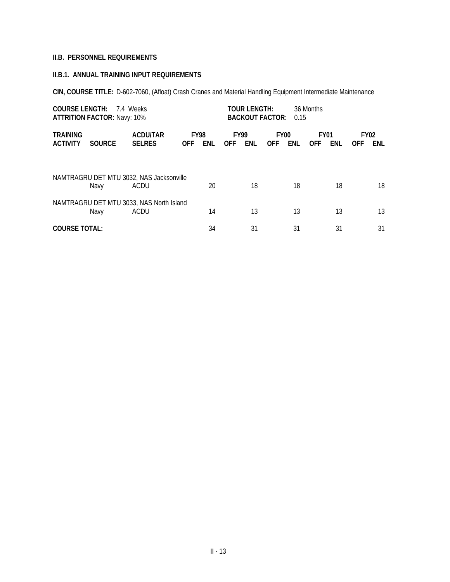#### **II.B. PERSONNEL REQUIREMENTS**

#### **II.B.1. ANNUAL TRAINING INPUT REQUIREMENTS**

**CIN, COURSE TITLE:** D-602-7060, (Afloat) Crash Cranes and Material Handling Equipment Intermediate Maintenance

| <b>COURSE LENGTH:</b>              | <b>ATTRITION FACTOR: Navy: 10%</b> | 7.4 Weeks                                        |                           | <b>TOUR LENGTH:</b><br>36 Months<br><b>BACKOUT FACTOR:</b><br>0.15 |                           |     |                           |     |                           |     |                           |     |
|------------------------------------|------------------------------------|--------------------------------------------------|---------------------------|--------------------------------------------------------------------|---------------------------|-----|---------------------------|-----|---------------------------|-----|---------------------------|-----|
| <b>TRAINING</b><br><b>ACTIVITY</b> | <b>SOURCE</b>                      | <b>ACDU/TAR</b><br><b>SELRES</b>                 | <b>FY98</b><br><b>OFF</b> | ENL                                                                | <b>FY99</b><br><b>OFF</b> | ENL | <b>FY00</b><br><b>OFF</b> | ENL | <b>FY01</b><br><b>OFF</b> | ENL | <b>FY02</b><br><b>OFF</b> | ENL |
|                                    | Navy                               | NAMTRAGRU DET MTU 3032, NAS Jacksonville<br>ACDU |                           | 20                                                                 |                           | 18  |                           | 18  |                           | 18  |                           | 18  |
|                                    | Navy                               | NAMTRAGRU DET MTU 3033, NAS North Island<br>ACDU |                           | 14                                                                 |                           | 13  |                           | 13  |                           | 13  |                           | 13  |
| <b>COURSE TOTAL:</b>               |                                    |                                                  |                           | 34                                                                 |                           | 31  |                           | 31  |                           | 31  |                           | 31  |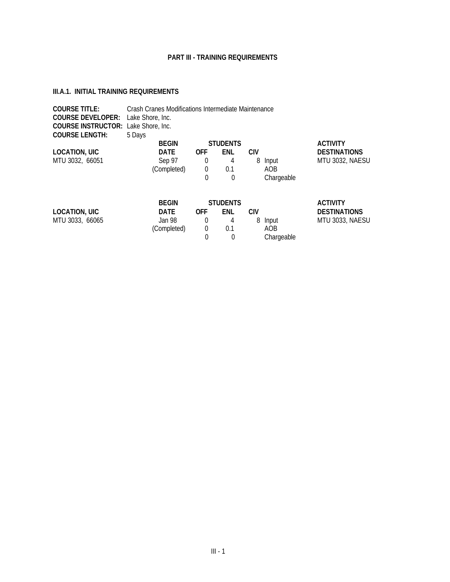#### **PART III - TRAINING REQUIREMENTS**

#### <span id="page-32-0"></span>**III.A.1. INITIAL TRAINING REQUIREMENTS**

| <b>COURSE TITLE:</b><br><b>COURSE DEVELOPER:</b><br><b>COURSE INSTRUCTOR: Lake Shore, Inc.</b> | Crash Cranes Modifications Intermediate Maintenance<br>Lake Shore, Inc. |            |                 |            |            |                     |
|------------------------------------------------------------------------------------------------|-------------------------------------------------------------------------|------------|-----------------|------------|------------|---------------------|
| <b>COURSE LENGTH:</b>                                                                          | 5 Days                                                                  |            |                 |            |            |                     |
|                                                                                                | <b>BEGIN</b>                                                            |            | <b>STUDENTS</b> |            |            | <b>ACTIVITY</b>     |
| <b>LOCATION, UIC</b>                                                                           | <b>DATE</b>                                                             | <b>OFF</b> | ENL             | <b>CIV</b> |            | <b>DESTINATIONS</b> |
| MTU 3032, 66051                                                                                | Sep 97                                                                  | 0          | 4               | 8          | Input      | MTU 3032, NAESU     |
|                                                                                                | (Completed)                                                             | 0          | 0.1             |            | AOB        |                     |
|                                                                                                |                                                                         | 0          | 0               |            | Chargeable |                     |
|                                                                                                |                                                                         |            |                 |            |            |                     |
|                                                                                                | <b>REGIN</b>                                                            |            | STHDENTS        |            |            | <b>ACTIVITY</b>     |

|                      | <b>BEGIN</b> |     | <b>STUDENTS</b> |            | <b>ACTIVITY</b>     |
|----------------------|--------------|-----|-----------------|------------|---------------------|
| <b>LOCATION, UIC</b> | DATE         | OFF | <b>FNL</b>      | CIV.       | <b>DESTINATIONS</b> |
| MTU 3033, 66065      | Jan 98.      |     |                 | 8 Input    | MTU 3033, NAESU     |
|                      | (Completed)  |     | በ 1             | AOB        |                     |
|                      |              |     |                 | Chargeable |                     |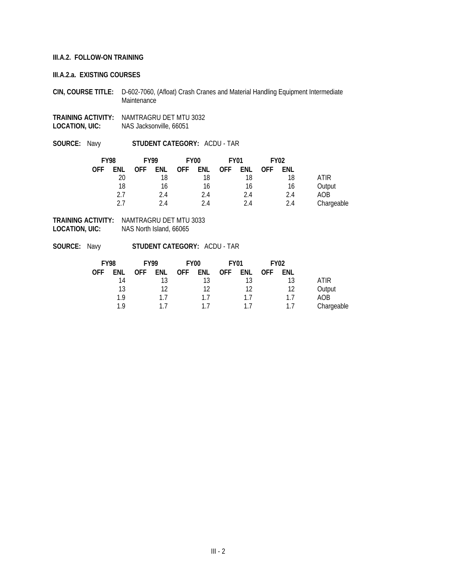#### **III.A.2. FOLLOW-ON TRAINING**

#### **III.A.2.a. EXISTING COURSES**

- **CIN, COURSE TITLE:** D-602-7060, (Afloat) Crash Cranes and Material Handling Equipment Intermediate Maintenance
- **TRAINING ACTIVITY:** NAMTRAGRU DET MTU 3032 **LOCATION, UIC:** NAS Jacksonville, 66051
- **SOURCE:** Navy **STUDENT CATEGORY:** ACDU TAR

| <b>FY98</b> |     | <b>FY99</b> |     | FY <sub>00</sub> |     |            | <b>FY01</b> |            |     |            | <b>FY02</b> |  |
|-------------|-----|-------------|-----|------------------|-----|------------|-------------|------------|-----|------------|-------------|--|
| OFF         | ENL | <b>OFF</b>  | ENL | <b>OFF</b>       | ENL | <b>OFF</b> | ENL         | <b>OFF</b> | ENL |            |             |  |
|             | 20  |             | 18  |                  | 18  |            | 18          |            | 18  | ATIR       |             |  |
|             | 18  |             | 16  |                  | 16  |            | 16          |            | 16  | Output     |             |  |
|             | 2.7 |             | 2.4 |                  | 2.4 |            | 2.4         |            | 2.4 | AOB        |             |  |
|             | ד ר |             | 24  |                  | 24  |            | 2.4         |            | 2.4 | Chargeable |             |  |

**TRAINING ACTIVITY:** NAMTRAGRU DET MTU 3033 **LOCATION, UIC:** NAS North Island, 66065

**SOURCE:** Navy **STUDENT CATEGORY:** ACDU - TAR

|            | <b>FY98</b> |            | <b>FY99</b> |            | FY <sub>00</sub> | <b>FY01</b> |     |            | <b>FY02</b> |            |
|------------|-------------|------------|-------------|------------|------------------|-------------|-----|------------|-------------|------------|
| <b>OFF</b> | ENL         | <b>OFF</b> | ENL         | <b>OFF</b> | ENL              | <b>OFF</b>  | ENL | <b>OFF</b> | ENL         |            |
|            | 14          |            |             |            |                  |             | 13  |            | 13          | ATIR       |
|            | 13          |            | 17          |            |                  |             | 12  |            | 12          | Output     |
|            | 19          |            | 17          |            | 17               |             | 17  |            |             | AOB        |
|            | 1 Q         |            |             |            |                  |             |     |            |             | Chargeable |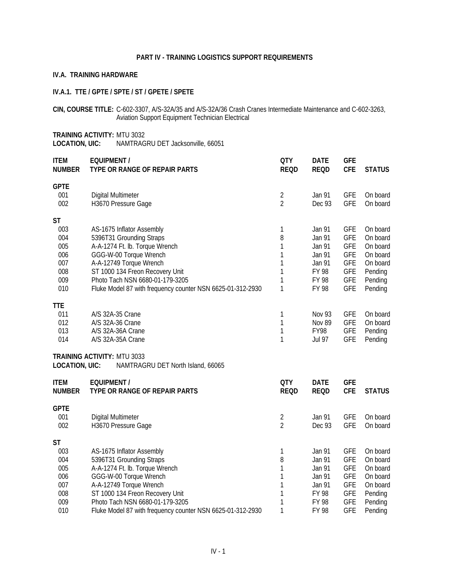#### **PART IV - TRAINING LOGISTICS SUPPORT REQUIREMENTS**

#### <span id="page-34-0"></span>**IV.A. TRAINING HARDWARE**

#### **IV.A.1. TTE / GPTE / SPTE / ST / GPETE / SPETE**

**CIN, COURSE TITLE:** C-602-3307, A/S-32A/35 and A/S-32A/36 Crash Cranes Intermediate Maintenance and C-602-3263, Aviation Support Equipment Technician Electrical

**TRAINING ACTIVITY:** MTU 3032 **LOCATION, UIC:** NAMTRAGRU DET Jacksonville, 66051

| <b>ITEM</b><br><b>NUMBER</b>                                      | <b>EQUIPMENT /</b><br>TYPE OR RANGE OF REPAIR PARTS                                                                                                                                                                                                                              | <b>QTY</b><br><b>REQD</b>                      | <b>DATE</b><br><b>REQD</b>                                                       | <b>GFE</b><br><b>CFE</b>                                                                                     | <b>STATUS</b>                                                                             |
|-------------------------------------------------------------------|----------------------------------------------------------------------------------------------------------------------------------------------------------------------------------------------------------------------------------------------------------------------------------|------------------------------------------------|----------------------------------------------------------------------------------|--------------------------------------------------------------------------------------------------------------|-------------------------------------------------------------------------------------------|
| <b>GPTE</b><br>001<br>002                                         | Digital Multimeter<br>H3670 Pressure Gage                                                                                                                                                                                                                                        | $\overline{2}$<br>$\overline{2}$               | Jan 91<br>Dec 93                                                                 | <b>GFE</b><br><b>GFE</b>                                                                                     | On board<br>On board                                                                      |
| <b>ST</b><br>003<br>004<br>005<br>006<br>007<br>008<br>009<br>010 | AS-1675 Inflator Assembly<br>5396T31 Grounding Straps<br>A-A-1274 Ft. Ib. Torque Wrench<br>GGG-W-00 Torque Wrench<br>A-A-12749 Torque Wrench<br>ST 1000 134 Freon Recovery Unit<br>Photo Tach NSN 6680-01-179-3205<br>Fluke Model 87 with frequency counter NSN 6625-01-312-2930 | 1<br>8<br>1<br>1<br>1<br>1<br>$\mathbf 1$<br>1 | Jan 91<br>Jan 91<br>Jan 91<br>Jan 91<br>Jan 91<br>FY 98<br>FY 98<br>FY 98        | <b>GFE</b><br><b>GFE</b><br><b>GFE</b><br><b>GFE</b><br><b>GFE</b><br><b>GFE</b><br><b>GFE</b><br><b>GFE</b> | On board<br>On board<br>On board<br>On board<br>On board<br>Pending<br>Pending<br>Pending |
| <b>TTE</b><br>011<br>012<br>013<br>014                            | A/S 32A-35 Crane<br>A/S 32A-36 Crane<br>A/S 32A-36A Crane<br>A/S 32A-35A Crane                                                                                                                                                                                                   | 1<br>1<br>1<br>1                               | <b>Nov 93</b><br><b>Nov 89</b><br>FY98<br><b>Jul 97</b>                          | <b>GFE</b><br><b>GFE</b><br><b>GFE</b><br><b>GFE</b>                                                         | On board<br>On board<br>Pending<br>Pending                                                |
| <b>LOCATION, UIC:</b>                                             | TRAINING ACTIVITY: MTU 3033<br>NAMTRAGRU DET North Island, 66065                                                                                                                                                                                                                 |                                                |                                                                                  |                                                                                                              |                                                                                           |
| <b>ITEM</b><br><b>NUMBER</b>                                      | <b>EQUIPMENT /</b><br>TYPE OR RANGE OF REPAIR PARTS                                                                                                                                                                                                                              | <b>QTY</b><br><b>REQD</b>                      | <b>DATE</b><br><b>REQD</b>                                                       | <b>GFE</b><br><b>CFE</b>                                                                                     | <b>STATUS</b>                                                                             |
| <b>GPTE</b><br>001<br>002                                         | Digital Multimeter<br>H3670 Pressure Gage                                                                                                                                                                                                                                        | $\overline{2}$<br>$\overline{2}$               | Jan 91<br>Dec 93                                                                 | <b>GFE</b><br><b>GFE</b>                                                                                     | On board<br>On board                                                                      |
| <b>ST</b><br>003<br>004<br>005<br>006<br>007<br>008<br>009<br>010 | AS-1675 Inflator Assembly<br>5396T31 Grounding Straps<br>A-A-1274 Ft. Ib. Torque Wrench<br>GGG-W-00 Torque Wrench<br>A-A-12749 Torque Wrench<br>ST 1000 134 Freon Recovery Unit<br>Photo Tach NSN 6680-01-179-3205<br>Fluke Model 87 with frequency counter NSN 6625-01-312-2930 | 1<br>8<br>1<br>1<br>1<br>1<br>1<br>1           | Jan 91<br>Jan 91<br>Jan 91<br>Jan 91<br>Jan 91<br>FY 98<br>FY 98<br><b>FY 98</b> | <b>GFE</b><br><b>GFE</b><br><b>GFE</b><br><b>GFE</b><br><b>GFE</b><br><b>GFE</b><br><b>GFE</b><br><b>GFE</b> | On board<br>On board<br>On board<br>On board<br>On board<br>Pending<br>Pending<br>Pending |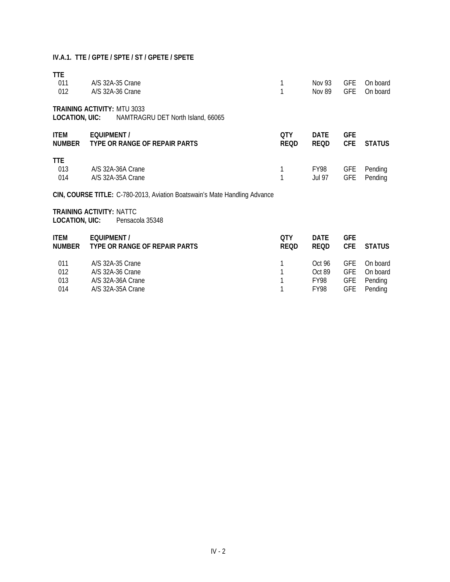#### **IV.A.1. TTE / GPTE / SPTE / ST / GPETE / SPETE**

| TTE<br>011<br>012            | A/S 32A-35 Crane<br>A/S 32A-36 Crane                                           | 1<br>1             | Nov 93<br><b>Nov 89</b>          | <b>GFE</b><br><b>GFE</b>                             | On board<br>On board                       |
|------------------------------|--------------------------------------------------------------------------------|--------------------|----------------------------------|------------------------------------------------------|--------------------------------------------|
| LOCATION, UIC:               | <b>TRAINING ACTIVITY: MTU 3033</b><br>NAMTRAGRU DET North Island, 66065        |                    |                                  |                                                      |                                            |
| <b>ITEM</b><br><b>NUMBER</b> | <b>EQUIPMENT /</b><br>TYPE OR RANGE OF REPAIR PARTS                            | QTY<br><b>REQD</b> | <b>DATE</b><br><b>REQD</b>       | <b>GFE</b><br><b>CFE</b>                             | <b>STATUS</b>                              |
| <b>TTE</b><br>013<br>014     | A/S 32A-36A Crane<br>A/S 32A-35A Crane                                         | 1<br>1             | FY98<br>Jul 97                   | <b>GFE</b><br><b>GFE</b>                             | Pending<br>Pending                         |
|                              | CIN, COURSE TITLE: C-780-2013, Aviation Boatswain's Mate Handling Advance      |                    |                                  |                                                      |                                            |
| LOCATION, UIC:               | <b>TRAINING ACTIVITY: NATTC</b><br>Pensacola 35348                             |                    |                                  |                                                      |                                            |
| ITEM<br><b>NUMBER</b>        | EQUIPMENT /<br>TYPE OR RANGE OF REPAIR PARTS                                   | QTY<br><b>REQD</b> | <b>DATE</b><br><b>REQD</b>       | <b>GFE</b><br><b>CFE</b>                             | <b>STATUS</b>                              |
| 011<br>012<br>013<br>014     | A/S 32A-35 Crane<br>A/S 32A-36 Crane<br>A/S 32A-36A Crane<br>A/S 32A-35A Crane | 1<br>1             | Oct 96<br>Oct 89<br>FY98<br>FY98 | <b>GFE</b><br><b>GFE</b><br><b>GFE</b><br><b>GFE</b> | On board<br>On board<br>Pending<br>Pending |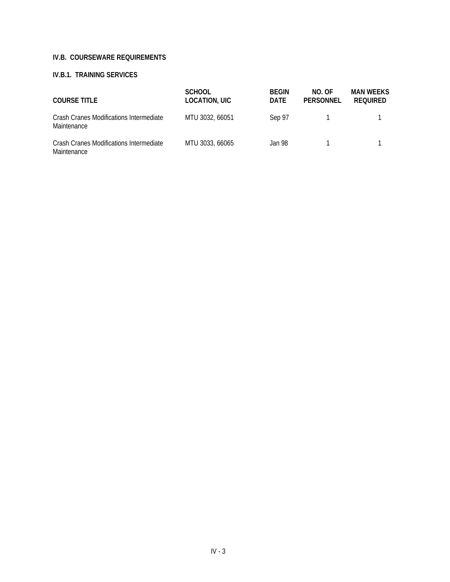#### **IV.B. COURSEWARE REQUIREMENTS**

#### **IV.B.1. TRAINING SERVICES**

| <b>COURSE TITLE</b>                                    | <b>SCHOOL</b><br>LOCATION, UIC | <b>BEGIN</b><br><b>DATE</b> | NO. OF<br>PERSONNEL | <b>MAN WEEKS</b><br><b>REQUIRED</b> |
|--------------------------------------------------------|--------------------------------|-----------------------------|---------------------|-------------------------------------|
| Crash Cranes Modifications Intermediate<br>Maintenance | MTU 3032, 66051                | Sep 97                      |                     |                                     |
| Crash Cranes Modifications Intermediate<br>Maintenance | MTU 3033, 66065                | Jan 98                      |                     |                                     |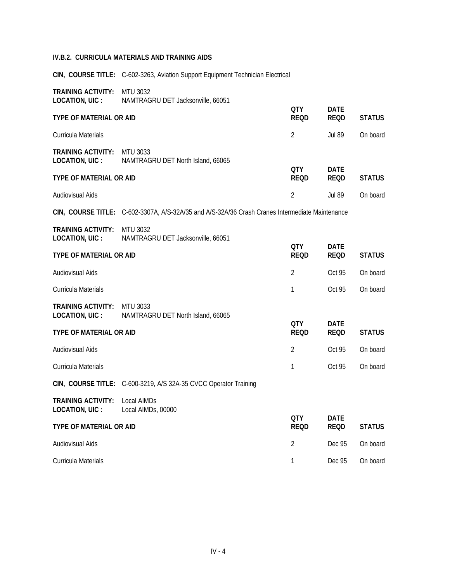#### **IV.B.2. CURRICULA MATERIALS AND TRAINING AIDS**

**CIN, COURSE TITLE:** C-602-3263, Aviation Support Equipment Technician Electrical

| <b>TRAINING ACTIVITY:</b><br><b>LOCATION, UIC:</b> | MTU 3032<br>NAMTRAGRU DET Jacksonville, 66051                                                   |                           |                            |               |
|----------------------------------------------------|-------------------------------------------------------------------------------------------------|---------------------------|----------------------------|---------------|
| TYPE OF MATERIAL OR AID                            |                                                                                                 | <b>QTY</b><br><b>REQD</b> | <b>DATE</b><br><b>REQD</b> | <b>STATUS</b> |
| Curricula Materials                                |                                                                                                 | 2                         | <b>Jul 89</b>              | On board      |
| <b>TRAINING ACTIVITY:</b><br><b>LOCATION, UIC:</b> | <b>MTU 3033</b><br>NAMTRAGRU DET North Island, 66065                                            |                           |                            |               |
| <b>TYPE OF MATERIAL OR AID</b>                     |                                                                                                 | QTY<br><b>REQD</b>        | <b>DATE</b><br><b>REQD</b> | <b>STATUS</b> |
| Audiovisual Aids                                   |                                                                                                 | $\overline{2}$            | <b>Jul 89</b>              | On board      |
|                                                    | CIN, COURSE TITLE: C-602-3307A, A/S-32A/35 and A/S-32A/36 Crash Cranes Intermediate Maintenance |                           |                            |               |
| <b>TRAINING ACTIVITY:</b><br><b>LOCATION, UIC:</b> | MTU 3032<br>NAMTRAGRU DET Jacksonville, 66051                                                   |                           |                            |               |
| TYPE OF MATERIAL OR AID                            |                                                                                                 | QTY<br><b>REQD</b>        | <b>DATE</b><br><b>REQD</b> | <b>STATUS</b> |
| Audiovisual Aids                                   |                                                                                                 | 2                         | Oct 95                     | On board      |
| Curricula Materials                                |                                                                                                 | 1                         | Oct 95                     | On board      |
| <b>TRAINING ACTIVITY:</b><br>LOCATION, UIC :       | MTU 3033<br>NAMTRAGRU DET North Island, 66065                                                   |                           |                            |               |
| <b>TYPE OF MATERIAL OR AID</b>                     |                                                                                                 | QTY<br><b>REQD</b>        | <b>DATE</b><br><b>REQD</b> | <b>STATUS</b> |
| Audiovisual Aids                                   |                                                                                                 | 2                         | Oct 95                     | On board      |
| Curricula Materials                                |                                                                                                 | 1                         | Oct 95                     | On board      |
|                                                    | CIN, COURSE TITLE: C-600-3219, A/S 32A-35 CVCC Operator Training                                |                           |                            |               |
| <b>TRAINING ACTIVITY:</b><br>LOCATION, UIC :       | Local AIMDs<br>Local AIMDs, 00000                                                               |                           |                            |               |
| TYPE OF MATERIAL OR AID                            |                                                                                                 | QTY<br><b>REQD</b>        | <b>DATE</b><br><b>REQD</b> | <b>STATUS</b> |
| Audiovisual Aids                                   |                                                                                                 | 2                         | Dec 95                     | On board      |
| Curricula Materials                                |                                                                                                 | 1                         | Dec 95                     | On board      |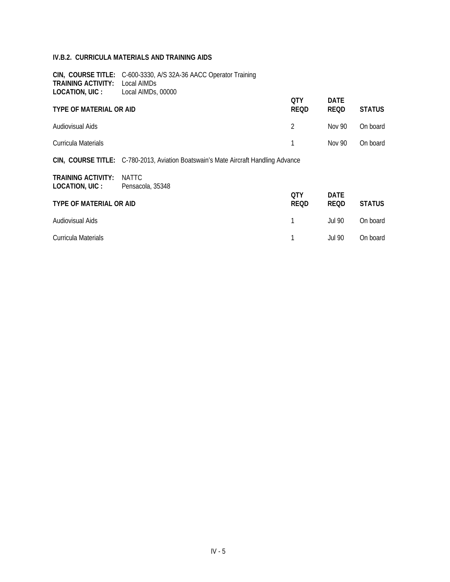#### **IV.B.2. CURRICULA MATERIALS AND TRAINING AIDS**

| <b>TRAINING ACTIVITY:</b><br>LOCATION, UIC : | CIN, COURSE TITLE: C-600-3330, A/S 32A-36 AACC Operator Training<br>Local AIMDs<br>Local AIMDs, 00000 |                           |                            |               |
|----------------------------------------------|-------------------------------------------------------------------------------------------------------|---------------------------|----------------------------|---------------|
| <b>TYPE OF MATERIAL OR AID</b>               |                                                                                                       | 0TY<br><b>REQD</b>        | <b>DATE</b><br><b>REQD</b> | <b>STATUS</b> |
| Audiovisual Aids                             |                                                                                                       | 2                         | Nov 90                     | On board      |
| Curricula Materials                          |                                                                                                       |                           | Nov 90                     | On board      |
|                                              | CIN, COURSE TITLE: C-780-2013, Aviation Boatswain's Mate Aircraft Handling Advance                    |                           |                            |               |
| <b>TRAINING ACTIVITY:</b><br>LOCATION, UIC : | <b>NATTC</b><br>Pensacola, 35348                                                                      |                           |                            |               |
| <b>TYPE OF MATERIAL OR AID</b>               |                                                                                                       | <b>OTY</b><br><b>REQD</b> | <b>DATE</b><br><b>REQD</b> | <b>STATUS</b> |
| Audiovisual Aids                             |                                                                                                       | 1                         | <b>Jul 90</b>              | On board      |
| Curricula Materials                          |                                                                                                       |                           | Jul 90                     | On board      |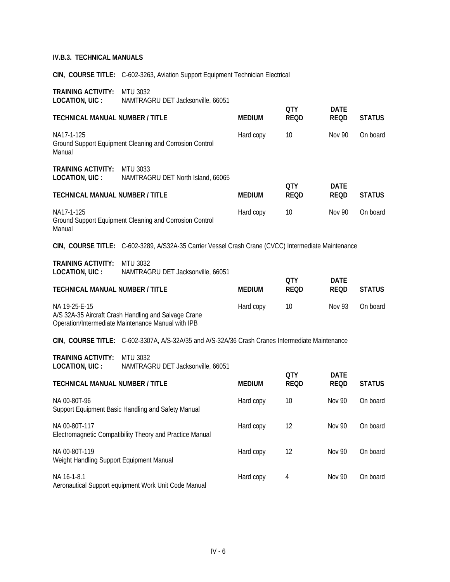**CIN, COURSE TITLE:** C-602-3263, Aviation Support Equipment Technician Electrical

| <b>TRAINING ACTIVITY:</b><br>LOCATION, UIC :              | <b>MTU 3032</b><br>NAMTRAGRU DET Jacksonville, 66051                                                       |               |                     |                            |               |
|-----------------------------------------------------------|------------------------------------------------------------------------------------------------------------|---------------|---------------------|----------------------------|---------------|
| TECHNICAL MANUAL NUMBER / TITLE                           |                                                                                                            | <b>MEDIUM</b> | <b>QTY</b><br>REOD  | DATE<br><b>REQD</b>        | <b>STATUS</b> |
| NA17-1-125<br>Manual                                      | Ground Support Equipment Cleaning and Corrosion Control                                                    | Hard copy     | 10                  | <b>Nov 90</b>              | On board      |
| <b>TRAINING ACTIVITY:</b><br>LOCATION, UIC :              | MTU 3033<br>NAMTRAGRU DET North Island, 66065                                                              |               |                     |                            |               |
| TECHNICAL MANUAL NUMBER / TITLE                           |                                                                                                            | <b>MEDIUM</b> | QTY.<br><b>REQD</b> | <b>DATE</b><br><b>REQD</b> | <b>STATUS</b> |
| NA17-1-125<br>Manual                                      | Ground Support Equipment Cleaning and Corrosion Control                                                    | Hard copy     | 10                  | Nov 90                     | On board      |
|                                                           | CIN, COURSE TITLE: C-602-3289, A/S32A-35 Carrier Vessel Crash Crane (CVCC) Intermediate Maintenance        |               |                     |                            |               |
| TRAINING ACTIVITY:<br>LOCATION, UIC :                     | MTU 3032<br>NAMTRAGRU DET Jacksonville, 66051                                                              |               |                     |                            |               |
| TECHNICAL MANUAL NUMBER / TITLE                           |                                                                                                            | <b>MEDIUM</b> | QTY.<br><b>REQD</b> | <b>DATE</b><br><b>REQD</b> | <b>STATUS</b> |
| NA 19-25-E-15                                             | A/S 32A-35 Aircraft Crash Handling and Salvage Crane<br>Operation/Intermediate Maintenance Manual with IPB | Hard copy     | 10                  | <b>Nov 93</b>              | On board      |
|                                                           | CIN, COURSE TITLE: C-602-3307A, A/S-32A/35 and A/S-32A/36 Crash Cranes Intermediate Maintenance            |               |                     |                            |               |
| <b>TRAINING ACTIVITY:</b><br>LOCATION, UIC :              | <b>MTU 3032</b><br>NAMTRAGRU DET Jacksonville, 66051                                                       |               | QTY.                | <b>DATE</b>                |               |
| TECHNICAL MANUAL NUMBER / TITLE                           |                                                                                                            | <b>MEDIUM</b> | <b>REQD</b>         | <b>REQD</b>                | <b>STATUS</b> |
| NA 00-80T-96                                              | Support Equipment Basic Handling and Safety Manual                                                         | Hard copy     | 10                  | <b>Nov 90</b>              | On board      |
| NA 00-80T-117                                             | Electromagnetic Compatibility Theory and Practice Manual                                                   | Hard copy     | 12                  | Nov 90                     | On board      |
| NA 00-80T-119<br>Weight Handling Support Equipment Manual |                                                                                                            | Hard copy     | 12                  | <b>Nov 90</b>              | On board      |

NA 16-1-8.1 Hard copy 4 Nov 90 On board Aeronautical Support equipment Work Unit Code Manual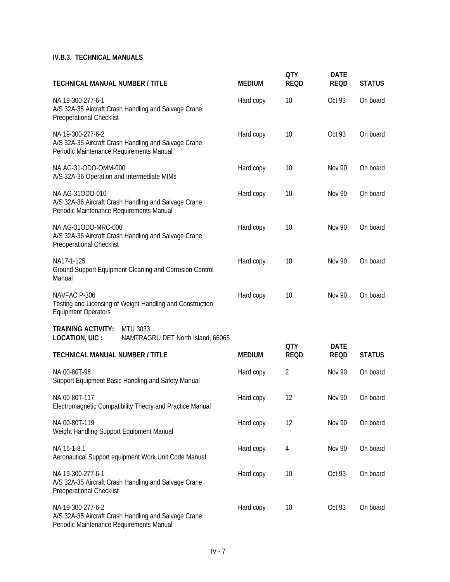| <b>TECHNICAL MANUAL NUMBER / TITLE</b>                                                                                | <b>MEDIUM</b> | <b>QTY</b><br><b>REQD</b> | <b>DATE</b><br><b>REQD</b> | <b>STATUS</b> |
|-----------------------------------------------------------------------------------------------------------------------|---------------|---------------------------|----------------------------|---------------|
| NA 19-300-277-6-1<br>A/S 32A-35 Aircraft Crash Handling and Salvage Crane<br><b>Preoperational Checklist</b>          | Hard copy     | 10                        | Oct 93                     | On board      |
| NA 19-300-277-6-2<br>A/S 32A-35 Aircraft Crash Handling and Salvage Crane<br>Periodic Maintenance Requirements Manual | Hard copy     | 10                        | Oct 93                     | On board      |
| NA AG-31-ODO-OMM-000<br>A/S 32A-36 Operation and Intermediate MIMs                                                    | Hard copy     | 10                        | <b>Nov 90</b>              | On board      |
| NA AG-310DO-010<br>A/S 32A-36 Aircraft Crash Handling and Salvage Crane<br>Periodic Maintenance Requirements Manual   | Hard copy     | 10                        | <b>Nov 90</b>              | On board      |
| NA AG-31ODO-MRC-000<br>A/S 32A-36 Aircraft Crash Handling and Salvage Crane<br>Preoperational Checklist               | Hard copy     | 10                        | <b>Nov 90</b>              | On board      |
| NA17-1-125<br>Ground Support Equipment Cleaning and Corrosion Control<br>Manual                                       | Hard copy     | 10                        | <b>Nov 90</b>              | On board      |
| NAVFAC P-306<br>Testing and Licensing of Weight Handling and Construction<br><b>Equipment Operators</b>               | Hard copy     | 10                        | <b>Nov 90</b>              | On board      |
| <b>TRAINING ACTIVITY:</b><br><b>MTU 3033</b><br>LOCATION, UIC :<br>NAMTRAGRU DET North Island, 66065                  |               |                           |                            |               |
| <b>TECHNICAL MANUAL NUMBER / TITLE</b>                                                                                | <b>MEDIUM</b> | <b>QTY</b><br><b>REQD</b> | <b>DATE</b><br><b>REQD</b> | <b>STATUS</b> |
| NA 00-80T-96<br>Support Equipment Basic Handling and Safety Manual                                                    | Hard copy     | $\overline{2}$            | <b>Nov 90</b>              | On board      |
| NA 00-80T-117<br>Electromagnetic Compatibility Theory and Practice Manual                                             | Hard copy     | 12                        | <b>Nov 90</b>              | On board      |
| NA 00-80T-119<br>Weight Handling Support Equipment Manual                                                             | Hard copy     | 12                        | <b>Nov 90</b>              | On board      |
| NA 16-1-8.1<br>Aeronautical Support equipment Work Unit Code Manual                                                   | Hard copy     | 4                         | <b>Nov 90</b>              | On board      |
| NA 19-300-277-6-1<br>A/S 32A-35 Aircraft Crash Handling and Salvage Crane<br>Preoperational Checklist                 | Hard copy     | 10                        | Oct 93                     | On board      |
| NA 19-300-277-6-2<br>A/S 32A-35 Aircraft Crash Handling and Salvage Crane<br>Periodic Maintenance Requirements Manual | Hard copy     | 10                        | Oct 93                     | On board      |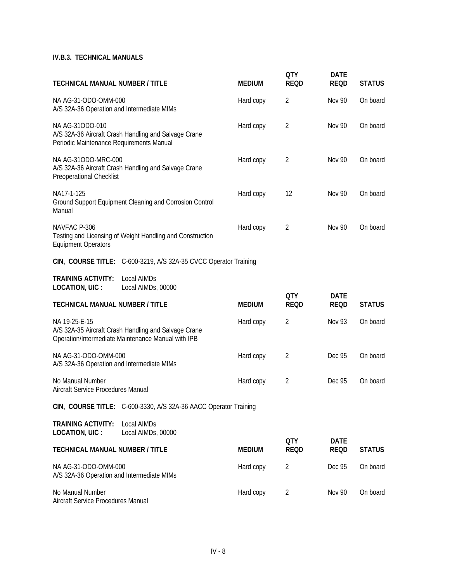| <b>TECHNICAL MANUAL NUMBER / TITLE</b>                                                                                      | <b>MEDIUM</b> | <b>QTY</b><br><b>REQD</b> | <b>DATE</b><br><b>REQD</b> | <b>STATUS</b> |
|-----------------------------------------------------------------------------------------------------------------------------|---------------|---------------------------|----------------------------|---------------|
| NA AG-31-ODO-OMM-000<br>A/S 32A-36 Operation and Intermediate MIMs                                                          | Hard copy     | $\overline{2}$            | <b>Nov 90</b>              | On board      |
| NA AG-310DO-010<br>A/S 32A-36 Aircraft Crash Handling and Salvage Crane<br>Periodic Maintenance Requirements Manual         | Hard copy     | $\overline{2}$            | <b>Nov 90</b>              | On board      |
| NA AG-31ODO-MRC-000<br>A/S 32A-36 Aircraft Crash Handling and Salvage Crane<br>Preoperational Checklist                     | Hard copy     | 2                         | <b>Nov 90</b>              | On board      |
| NA17-1-125<br>Ground Support Equipment Cleaning and Corrosion Control<br>Manual                                             | Hard copy     | 12                        | <b>Nov 90</b>              | On board      |
| NAVFAC P-306<br>Testing and Licensing of Weight Handling and Construction<br><b>Equipment Operators</b>                     | Hard copy     | 2                         | <b>Nov 90</b>              | On board      |
| CIN, COURSE TITLE: C-600-3219, A/S 32A-35 CVCC Operator Training                                                            |               |                           |                            |               |
| <b>TRAINING ACTIVITY:</b><br>Local AIMDs<br><b>LOCATION, UIC:</b><br>Local AIMDs, 00000                                     |               |                           |                            |               |
| <b>TECHNICAL MANUAL NUMBER / TITLE</b>                                                                                      | <b>MEDIUM</b> | <b>QTY</b><br><b>REQD</b> | <b>DATE</b><br><b>REQD</b> | <b>STATUS</b> |
| NA 19-25-E-15<br>A/S 32A-35 Aircraft Crash Handling and Salvage Crane<br>Operation/Intermediate Maintenance Manual with IPB | Hard copy     | 2                         | <b>Nov 93</b>              | On board      |
| NA AG-31-ODO-OMM-000<br>A/S 32A-36 Operation and Intermediate MIMs                                                          | Hard copy     | $\overline{2}$            | Dec 95                     | On board      |
| No Manual Number<br>Aircraft Service Procedures Manual                                                                      | Hard copy     | 2                         | Dec 95                     | On board      |
| CIN, COURSE TITLE: C-600-3330, A/S 32A-36 AACC Operator Training                                                            |               |                           |                            |               |
| <b>TRAINING ACTIVITY:</b><br>Local AIMDs<br>LOCATION, UIC :<br>Local AIMDs, 00000                                           |               |                           |                            |               |
| <b>TECHNICAL MANUAL NUMBER / TITLE</b>                                                                                      | <b>MEDIUM</b> | <b>QTY</b><br><b>REQD</b> | <b>DATE</b><br><b>REQD</b> | <b>STATUS</b> |
| NA AG-31-ODO-OMM-000<br>A/S 32A-36 Operation and Intermediate MIMs                                                          | Hard copy     | 2                         | Dec 95                     | On board      |
|                                                                                                                             |               |                           |                            |               |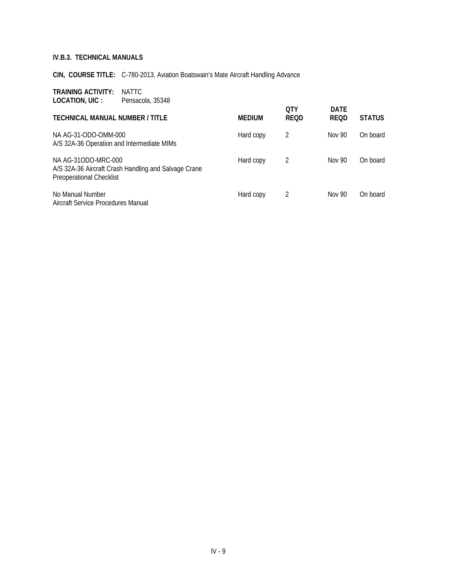**CIN, COURSE TITLE:** C-780-2013, Aviation Boatswain's Mate Aircraft Handling Advance

**TRAINING ACTIVITY:** NATTC **LOCATION, UIC :** Pensacola, 35348

|                                                                                                                |           | <b>OTY</b>  | <b>DATE</b> |               |
|----------------------------------------------------------------------------------------------------------------|-----------|-------------|-------------|---------------|
| <b>TECHNICAL MANUAL NUMBER / TITLE</b>                                                                         | MEDIUM    | <b>REQD</b> | <b>REQD</b> | <b>STATUS</b> |
| NA AG-31-ODO-OMM-000<br>A/S 32A-36 Operation and Intermediate MIMs                                             | Hard copy | 2           | Nov 90      | On board      |
| NA AG-310DO-MRC-000<br>A/S 32A-36 Aircraft Crash Handling and Salvage Crane<br><b>Preoperational Checklist</b> | Hard copy | 2           | Nov 90      | On board      |
| No Manual Number<br>Aircraft Service Procedures Manual                                                         | Hard copy | 2           | Nov 90      | On board      |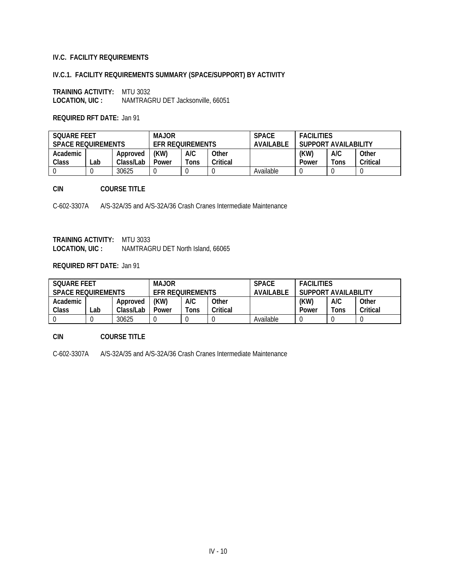#### **IV.C. FACILITY REQUIREMENTS**

#### **IV.C.1. FACILITY REQUIREMENTS SUMMARY (SPACE/SUPPORT) BY ACTIVITY**

**TRAINING ACTIVITY: MTU 3032 LOCATION, UIC: NAMTRAG LOCATION, UIC :** NAMTRAGRU DET Jacksonville, 66051

#### **REQUIRED RFT DATE:** Jan 91

| <b>SOUARE FEET</b><br><b>SPACE REQUIREMENTS</b> |      |           | <b>MAJOR</b><br><b>EFR REQUIREMENTS</b> |      |          | <b>SPACE</b><br><b>AVAILABLE</b> | <b>FACILITIES</b><br>SUPPORT AVAILABILITY |  |  |
|-------------------------------------------------|------|-----------|-----------------------------------------|------|----------|----------------------------------|-------------------------------------------|--|--|
| Academic                                        |      | Approved  | (KW)                                    | A/C  | Other    |                                  | (KW)<br>A/C<br>Other                      |  |  |
| Class                                           | ∟ab⊥ | Class/Lab | Power                                   | Tons | Critical |                                  | Critical<br>$T$ ons<br>Power              |  |  |
|                                                 |      | 30625     |                                         |      |          | Available                        |                                           |  |  |

#### **CIN COURSE TITLE**

C-602-3307A A/S-32A/35 and A/S-32A/36 Crash Cranes Intermediate Maintenance

**TRAINING ACTIVITY:** MTU 3033 **LOCATION, UIC :** NAMTRAGRU DET North Island, 66065

#### **REQUIRED RFT DATE:** Jan 91

| SOUARE FEET<br><b>SPACE REQUIREMENTS</b> |     |           | <b>MAJOR</b><br><b>EFR REQUIREMENTS</b> |      |          | <b>SPACE</b><br>AVAIL ABLE | <b>FACILITIES</b><br>SUPPORT AVAILABILITY |  |  |
|------------------------------------------|-----|-----------|-----------------------------------------|------|----------|----------------------------|-------------------------------------------|--|--|
| Academic                                 |     | Approved  | (KW)                                    | A/C  | Other    |                            | (KW)<br>A/C<br>Other                      |  |  |
| Class                                    | _ab | Class/Lab | Power                                   | Tons | Critical |                            | Critical<br>$T$ ons<br>Power              |  |  |
|                                          |     | 30625     |                                         |      |          | Available                  |                                           |  |  |

#### **CIN COURSE TITLE**

C-602-3307A A/S-32A/35 and A/S-32A/36 Crash Cranes Intermediate Maintenance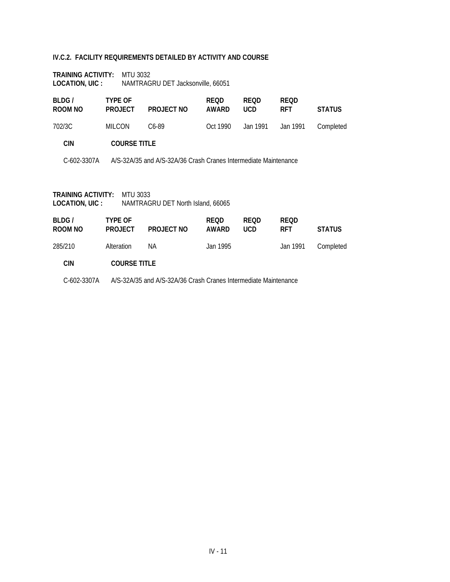#### **IV.C.2. FACILITY REQUIREMENTS DETAILED BY ACTIVITY AND COURSE**

| <b>TRAINING ACTIVITY:</b> | MTU 3032                          |
|---------------------------|-----------------------------------|
| LOCATION, UIC :           | NAMTRAGRU DET Jacksonville, 66051 |

| BLDG/<br>ROOM NO | <b>TYPE OF</b><br><b>PROJECT</b>                                | PROJECT NO         | <b>REQD</b><br>AWARD | <b>REOD</b><br><b>UCD</b> | <b>REOD</b><br><b>RFT</b> | <b>STATUS</b> |
|------------------|-----------------------------------------------------------------|--------------------|----------------------|---------------------------|---------------------------|---------------|
| 702/3C           | <b>MILCON</b>                                                   | C <sub>6</sub> -89 | Oct 1990             | Jan 1991                  | Jan 1991                  | Completed     |
| <b>CIN</b>       | <b>COURSE TITLE</b>                                             |                    |                      |                           |                           |               |
| C-602-3307A      | A/S-32A/35 and A/S-32A/36 Crash Cranes Intermediate Maintenance |                    |                      |                           |                           |               |

| <b>TRAINING ACTIVITY: MTU 3033</b> |                                   |
|------------------------------------|-----------------------------------|
| LOCATION, UIC :                    | NAMTRAGRU DET North Island, 66065 |

| BLDG/<br>ROOM NO | <b>TYPE OF</b><br><b>PROJECT</b> | PROJECT NO | <b>REOD</b><br>AWARD | <b>REOD</b><br>UCD | <b>REOD</b><br><b>RFT</b> | <b>STATUS</b> |
|------------------|----------------------------------|------------|----------------------|--------------------|---------------------------|---------------|
| 285/210          | Alteration                       | NA.        | Jan 1995             |                    | Jan 1991                  | Completed     |
| CIN              | <b>COURSE TITLE</b>              |            |                      |                    |                           |               |

C-602-3307A A/S-32A/35 and A/S-32A/36 Crash Cranes Intermediate Maintenance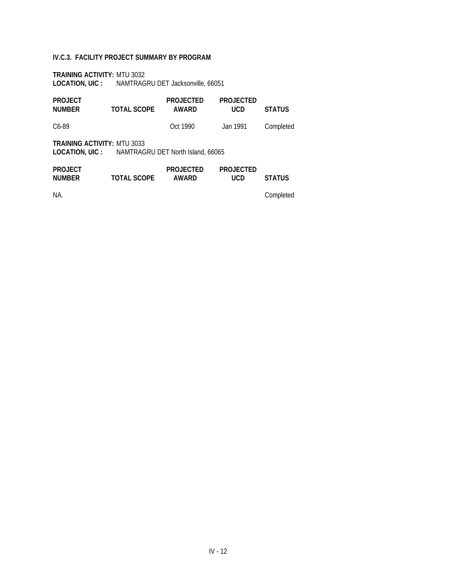#### **IV.C.3. FACILITY PROJECT SUMMARY BY PROGRAM**

**TRAINING ACTIVITY:** MTU 3032 **LOCATION, UIC :** NAMTRAGRU DET Jacksonville, 66051

| <b>PROJECT</b><br><b>NUMBER</b>                                                               | <b>TOTAL SCOPE</b> | <b>PROJECTED</b><br>AWARD | <b>PROJECTED</b><br>UCD | <b>STATUS</b> |
|-----------------------------------------------------------------------------------------------|--------------------|---------------------------|-------------------------|---------------|
| C <sub>6</sub> -89                                                                            |                    | Oct 1990                  | Jan 1991                | Completed     |
| <b>TRAINING ACTIVITY: MTU 3033</b><br><b>LOCATION, UIC:</b> NAMTRAGRU DET North Island, 66065 |                    |                           |                         |               |
| <b>PROJECT</b><br><b>NUMBER</b>                                                               | <b>TOTAL SCOPE</b> | <b>PROJECTED</b><br>AWARD | <b>PROJECTED</b><br>UCD | <b>STATUS</b> |

NA. Completed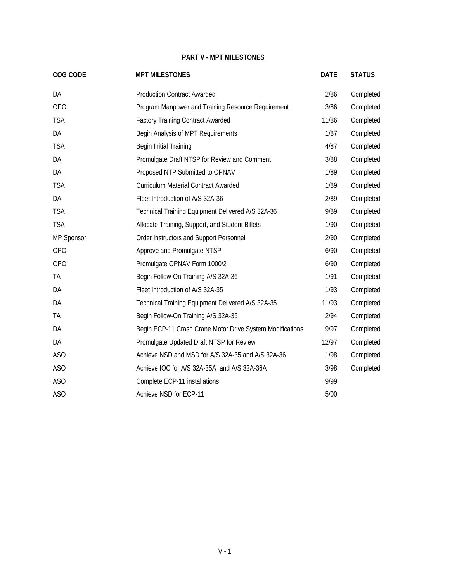#### **PART V - MPT MILESTONES**

<span id="page-46-0"></span>

| COG CODE        | <b>MPT MILESTONES</b>                                     | <b>DATE</b> | <b>STATUS</b> |
|-----------------|-----------------------------------------------------------|-------------|---------------|
| DA              | <b>Production Contract Awarded</b>                        | 2/86        | Completed     |
| <b>OPO</b>      | Program Manpower and Training Resource Requirement        | 3/86        | Completed     |
| <b>TSA</b>      | <b>Factory Training Contract Awarded</b>                  | 11/86       | Completed     |
| DA              | Begin Analysis of MPT Requirements                        | 1/87        | Completed     |
| <b>TSA</b>      | Begin Initial Training                                    | 4/87        | Completed     |
| DA              | Promulgate Draft NTSP for Review and Comment              | 3/88        | Completed     |
| DA              | Proposed NTP Submitted to OPNAV                           | 1/89        | Completed     |
| <b>TSA</b>      | <b>Curriculum Material Contract Awarded</b>               | 1/89        | Completed     |
| DA              | Fleet Introduction of A/S 32A-36                          | 2/89        | Completed     |
| <b>TSA</b>      | Technical Training Equipment Delivered A/S 32A-36         | 9/89        | Completed     |
| <b>TSA</b>      | Allocate Training, Support, and Student Billets           | 1/90        | Completed     |
| MP Sponsor      | Order Instructors and Support Personnel                   | 2/90        | Completed     |
| OP <sub>O</sub> | Approve and Promulgate NTSP                               | 6/90        | Completed     |
| OP <sub>O</sub> | Promulgate OPNAV Form 1000/2                              | 6/90        | Completed     |
| TA              | Begin Follow-On Training A/S 32A-36                       | 1/91        | Completed     |
| DA              | Fleet Introduction of A/S 32A-35                          | 1/93        | Completed     |
| DA              | Technical Training Equipment Delivered A/S 32A-35         | 11/93       | Completed     |
| TA              | Begin Follow-On Training A/S 32A-35                       | 2/94        | Completed     |
| DA              | Begin ECP-11 Crash Crane Motor Drive System Modifications | 9/97        | Completed     |
| DA              | Promulgate Updated Draft NTSP for Review                  | 12/97       | Completed     |
| ASO             | Achieve NSD and MSD for A/S 32A-35 and A/S 32A-36         | 1/98        | Completed     |
| ASO             | Achieve IOC for A/S 32A-35A and A/S 32A-36A               | 3/98        | Completed     |
| ASO             | Complete ECP-11 installations                             | 9/99        |               |
| ASO             | Achieve NSD for ECP-11                                    | 5/00        |               |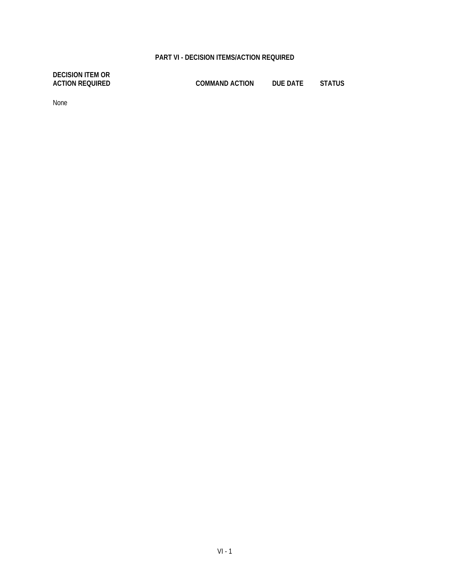#### **PART VI - DECISION ITEMS/ACTION REQUIRED**

<span id="page-47-0"></span>**DECISION ITEM OR**

**ACTION REQUIRED COMMAND ACTION DUE DATE STATUS**

None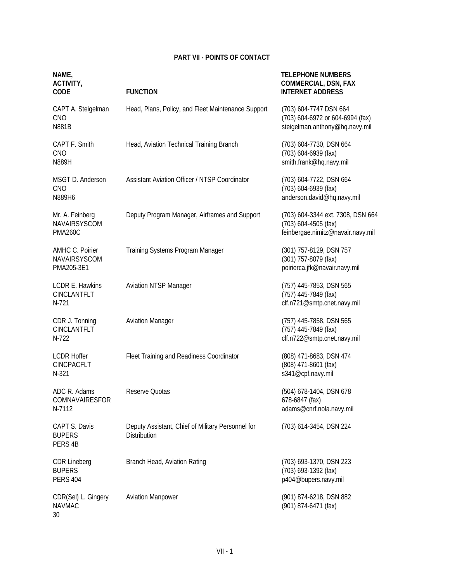#### **PART VII - POINTS OF CONTACT**

<span id="page-48-0"></span>

| NAME,<br><b>ACTIVITY,</b><br><b>CODE</b>                | <b>FUNCTION</b>                                                   | <b>TELEPHONE NUMBERS</b><br><b>COMMERCIAL, DSN, FAX</b><br><b>INTERNET ADDRESS</b>             |
|---------------------------------------------------------|-------------------------------------------------------------------|------------------------------------------------------------------------------------------------|
| CAPT A. Steigelman<br><b>CNO</b><br><b>N881B</b>        | Head, Plans, Policy, and Fleet Maintenance Support                | (703) 604-7747 DSN 664<br>(703) 604-6972 or 604-6994 (fax)<br>steigelman.anthony@hq.navy.mil   |
| CAPT F. Smith<br><b>CNO</b><br>N889H                    | Head, Aviation Technical Training Branch                          | (703) 604-7730, DSN 664<br>(703) 604-6939 (fax)<br>smith.frank@hq.navy.mil                     |
| MSGT D. Anderson<br>CNO<br>N889H6                       | <b>Assistant Aviation Officer / NTSP Coordinator</b>              | (703) 604-7722, DSN 664<br>(703) 604-6939 (fax)<br>anderson.david@hq.navy.mil                  |
| Mr. A. Feinberg<br>NAVAIRSYSCOM<br>PMA260C              | Deputy Program Manager, Airframes and Support                     | (703) 604-3344 ext. 7308, DSN 664<br>(703) 604-4505 (fax)<br>feinbergae.nimitz@navair.navy.mil |
| AMHC C. Poirier<br>NAVAIRSYSCOM<br>PMA205-3E1           | Training Systems Program Manager                                  | (301) 757-8129, DSN 757<br>(301) 757-8079 (fax)<br>poirierca.jfk@navair.navy.mil               |
| LCDR E. Hawkins<br>CINCLANTFLT<br>N-721                 | <b>Aviation NTSP Manager</b>                                      | (757) 445-7853, DSN 565<br>(757) 445-7849 (fax)<br>clf.n721@smtp.cnet.navy.mil                 |
| CDR J. Tonning<br>CINCLANTFLT<br>N-722                  | <b>Aviation Manager</b>                                           | (757) 445-7858, DSN 565<br>(757) 445-7849 (fax)<br>clf.n722@smtp.cnet.navy.mil                 |
| <b>LCDR Hoffer</b><br>CINCPACFLT<br>N-321               | Fleet Training and Readiness Coordinator                          | (808) 471-8683, DSN 474<br>(808) 471-8601 (fax)<br>s341@cpf.navy.mil                           |
| ADC R. Adams<br>COMNAVAIRESFOR<br>N-7112                | Reserve Quotas                                                    | (504) 678-1404, DSN 678<br>678-6847 (fax)<br>adams@cnrf.nola.navy.mil                          |
| CAPT S. Davis<br><b>BUPERS</b><br>PERS 4B               | Deputy Assistant, Chief of Military Personnel for<br>Distribution | (703) 614-3454, DSN 224                                                                        |
| <b>CDR Lineberg</b><br><b>BUPERS</b><br><b>PERS 404</b> | Branch Head, Aviation Rating                                      | (703) 693-1370, DSN 223<br>(703) 693-1392 (fax)<br>p404@bupers.navy.mil                        |
| CDR(Sel) L. Gingery<br><b>NAVMAC</b><br>30              | <b>Aviation Manpower</b>                                          | (901) 874-6218, DSN 882<br>(901) 874-6471 (fax)                                                |